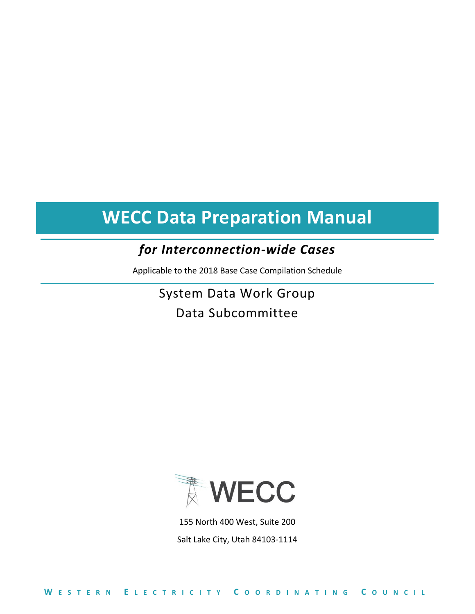## *for Interconnection-wide Cases*

Applicable to the 2018 Base Case Compilation Schedule

System Data Work Group Data Subcommittee



155 North 400 West, Suite 200 Salt Lake City, Utah 84103-1114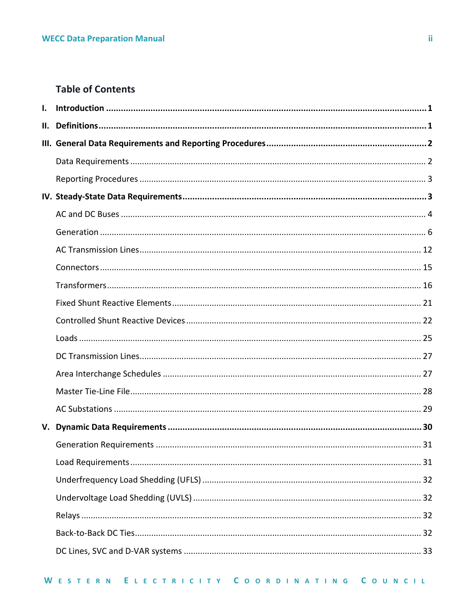## **Table of Contents**

| $\mathbf{L}$ |  |
|--------------|--|
|              |  |
|              |  |
|              |  |
|              |  |
|              |  |
|              |  |
|              |  |
|              |  |
|              |  |
|              |  |
|              |  |
|              |  |
|              |  |
|              |  |
|              |  |
|              |  |
|              |  |
|              |  |
|              |  |
|              |  |
|              |  |
|              |  |
|              |  |
|              |  |
|              |  |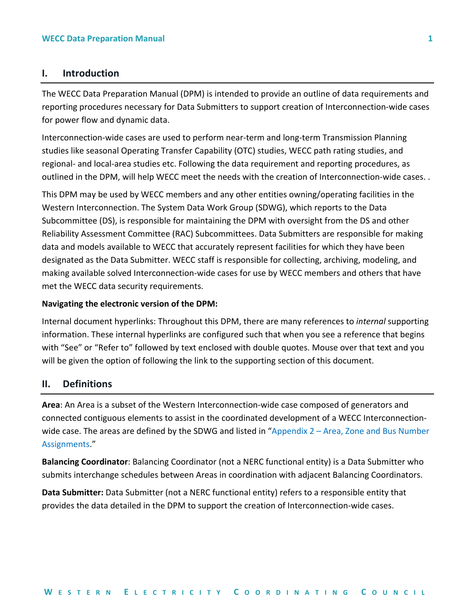## <span id="page-3-0"></span>**I. Introduction**

The WECC Data Preparation Manual (DPM) is intended to provide an outline of data requirements and reporting procedures necessary for Data Submitters to support creation of Interconnection-wide cases for power flow and dynamic data.

Interconnection-wide cases are used to perform near-term and long-term Transmission Planning studies like seasonal Operating Transfer Capability (OTC) studies, WECC path rating studies, and regional- and local-area studies etc. Following the data requirement and reporting procedures, as outlined in the DPM, will help WECC meet the needs with the creation of Interconnection-wide cases. .

This DPM may be used by WECC members and any other entities owning/operating facilities in the Western Interconnection. The System Data Work Group (SDWG), which reports to the Data Subcommittee (DS), is responsible for maintaining the DPM with oversight from the DS and other Reliability Assessment Committee (RAC) Subcommittees. Data Submitters are responsible for making data and models available to WECC that accurately represent facilities for which they have been designated as the Data Submitter. WECC staff is responsible for collecting, archiving, modeling, and making available solved Interconnection-wide cases for use by WECC members and others that have met the WECC data security requirements.

#### **Navigating the electronic version of the DPM:**

Internal document hyperlinks: Throughout this DPM, there are many references to *internal* supporting information. These internal hyperlinks are configured such that when you see a reference that begins with "See" or "Refer to" followed by text enclosed with double quotes. Mouse over that text and you will be given the option of following the link to the supporting section of this document.

## <span id="page-3-1"></span>**II. Definitions**

**Area**: An Area is a subset of the Western Interconnection-wide case composed of generators and connected contiguous elements to assist in the coordinated development of a WECC Interconnectionwide case. The areas are defined by the SDWG and listed in "Appendix 2 – Area, Zone and Bus Number [Assignments](#page-39-0)."

**Balancing Coordinator**: Balancing Coordinator (not a NERC functional entity) is a Data Submitter who submits interchange schedules between Areas in coordination with adjacent Balancing Coordinators.

**Data Submitter:** Data Submitter (not a NERC functional entity) refers to a responsible entity that provides the data detailed in the DPM to support the creation of Interconnection-wide cases.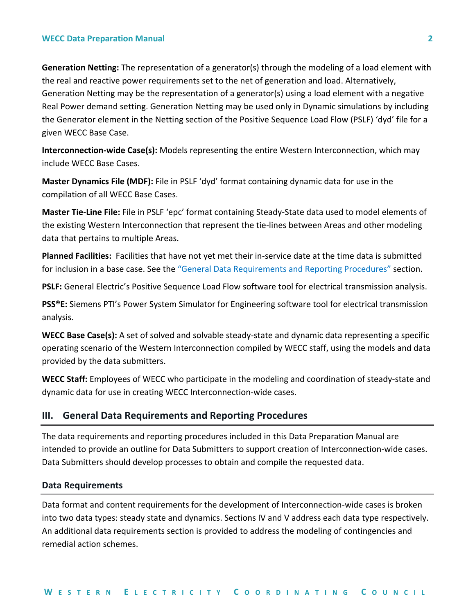**Generation Netting:** The representation of a generator(s) through the modeling of a load element with the real and reactive power requirements set to the net of generation and load. Alternatively, Generation Netting may be the representation of a generator(s) using a load element with a negative Real Power demand setting. Generation Netting may be used only in Dynamic simulations by including the Generator element in the Netting section of the Positive Sequence Load Flow (PSLF) 'dyd' file for a given WECC Base Case.

**Interconnection-wide Case(s):** Models representing the entire Western Interconnection, which may include WECC Base Cases.

**Master Dynamics File (MDF):** File in PSLF 'dyd' format containing dynamic data for use in the compilation of all WECC Base Cases.

**Master Tie-Line File:** File in PSLF 'epc' format containing Steady-State data used to model elements of the existing Western Interconnection that represent the tie-lines between Areas and other modeling data that pertains to multiple Areas.

**Planned Facilities:** Facilities that have not yet met their in-service date at the time data is submitted for inclusion in a base case. See the "[General Data Requirements and Reporting Procedures](#page-4-0)" section.

**PSLF:** General Electric's Positive Sequence Load Flow software tool for electrical transmission analysis.

**PSS®E:** Siemens PTI's Power System Simulator for Engineering software tool for electrical transmission analysis.

**WECC Base Case(s):** A set of solved and solvable steady-state and dynamic data representing a specific operating scenario of the Western Interconnection compiled by WECC staff, using the models and data provided by the data submitters.

**WECC Staff:** Employees of WECC who participate in the modeling and coordination of steady-state and dynamic data for use in creating WECC Interconnection-wide cases.

#### <span id="page-4-0"></span>**III. General Data Requirements and Reporting Procedures**

The data requirements and reporting procedures included in this Data Preparation Manual are intended to provide an outline for Data Submitters to support creation of Interconnection-wide cases. Data Submitters should develop processes to obtain and compile the requested data.

#### <span id="page-4-1"></span>**Data Requirements**

Data format and content requirements for the development of Interconnection-wide cases is broken into two data types: steady state and dynamics. Sections IV and V address each data type respectively. An additional data requirements section is provided to address the modeling of contingencies and remedial action schemes.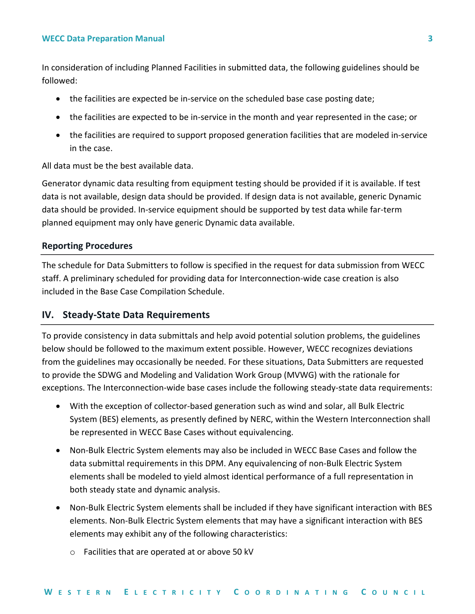In consideration of including Planned Facilities in submitted data, the following guidelines should be followed:

- the facilities are expected be in-service on the scheduled base case posting date;
- the facilities are expected to be in-service in the month and year represented in the case; or
- the facilities are required to support proposed generation facilities that are modeled in-service in the case.

All data must be the best available data.

Generator dynamic data resulting from equipment testing should be provided if it is available. If test data is not available, design data should be provided. If design data is not available, generic Dynamic data should be provided. In-service equipment should be supported by test data while far-term planned equipment may only have generic Dynamic data available.

#### <span id="page-5-0"></span>**Reporting Procedures**

The schedule for Data Submitters to follow is specified in the request for data submission from WECC staff. A preliminary scheduled for providing data for Interconnection-wide case creation is also included in the Base Case Compilation Schedule.

#### <span id="page-5-1"></span>**IV. Steady-State Data Requirements**

To provide consistency in data submittals and help avoid potential solution problems, the guidelines below should be followed to the maximum extent possible. However, WECC recognizes deviations from the guidelines may occasionally be needed. For these situations, Data Submitters are requested to provide the SDWG and Modeling and Validation Work Group (MVWG) with the rationale for exceptions. The Interconnection-wide base cases include the following steady-state data requirements:

- With the exception of collector-based generation such as wind and solar, all Bulk Electric System (BES) elements, as presently defined by NERC, within the Western Interconnection shall be represented in WECC Base Cases without equivalencing.
- Non-Bulk Electric System elements may also be included in WECC Base Cases and follow the data submittal requirements in this DPM. Any equivalencing of non-Bulk Electric System elements shall be modeled to yield almost identical performance of a full representation in both steady state and dynamic analysis.
- Non-Bulk Electric System elements shall be included if they have significant interaction with BES elements. Non-Bulk Electric System elements that may have a significant interaction with BES elements may exhibit any of the following characteristics:
	- o Facilities that are operated at or above 50 kV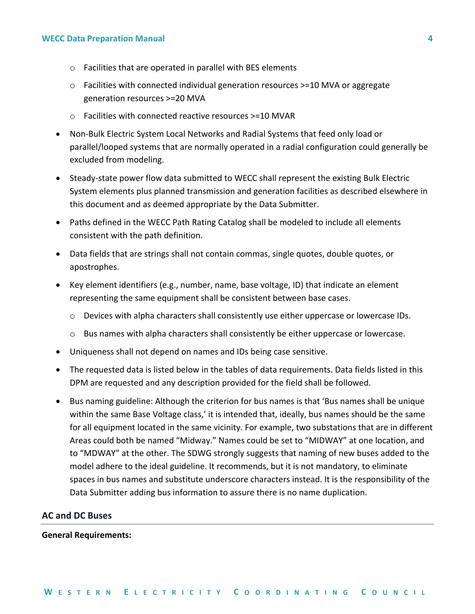- o Facilities that are operated in parallel with BES elements
- $\circ$  Facilities with connected individual generation resources >=10 MVA or aggregate generation resources >=20 MVA
- o Facilities with connected reactive resources >=10 MVAR
- Non-Bulk Electric System Local Networks and Radial Systems that feed only load or parallel/looped systems that are normally operated in a radial configuration could generally be excluded from modeling.
- Steady-state power flow data submitted to WECC shall represent the existing Bulk Electric System elements plus planned transmission and generation facilities as described elsewhere in this document and as deemed appropriate by the Data Submitter.
- Paths defined in the WECC Path Rating Catalog shall be modeled to include all elements consistent with the path definition.
- Data fields that are strings shall not contain commas, single quotes, double quotes, or apostrophes.
- Key element identifiers (e.g., number, name, base voltage, ID) that indicate an element representing the same equipment shall be consistent between base cases.
	- o Devices with alpha characters shall consistently use either uppercase or lowercase IDs.
	- $\circ$  Bus names with alpha characters shall consistently be either uppercase or lowercase.
- Uniqueness shall not depend on names and IDs being case sensitive.
- The requested data is listed below in the tables of data requirements. Data fields listed in this DPM are requested and any description provided for the field shall be followed.
- Bus naming guideline: Although the criterion for bus names is that 'Bus names shall be unique within the same Base Voltage class,' it is intended that, ideally, bus names should be the same for all equipment located in the same vicinity. For example, two substations that are in different Areas could both be named "Midway." Names could be set to "MIDWAY" at one location, and to "MDWAY" at the other. The SDWG strongly suggests that naming of new buses added to the model adhere to the ideal guideline. It recommends, but it is not mandatory, to eliminate spaces in bus names and substitute underscore characters instead. It is the responsibility of the Data Submitter adding bus information to assure there is no name duplication.

#### <span id="page-6-0"></span>**AC and DC Buses**

#### **General Requirements:**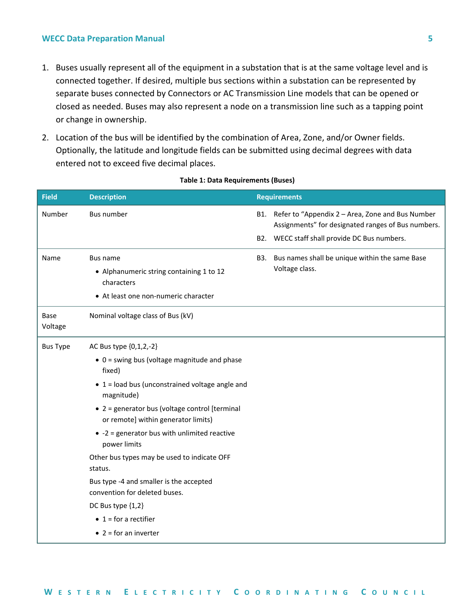- 1. Buses usually represent all of the equipment in a substation that is at the same voltage level and is connected together. If desired, multiple bus sections within a substation can be represented by separate buses connected by Connectors or AC Transmission Line models that can be opened or closed as needed. Buses may also represent a node on a transmission line such as a tapping point or change in ownership.
- 2. Location of the bus will be identified by the combination of Area, Zone, and/or Owner fields. Optionally, the latitude and longitude fields can be submitted using decimal degrees with data entered not to exceed five decimal places.

| <b>Field</b>    | <b>Description</b>                                                                                         | <b>Requirements</b>                                                                                        |
|-----------------|------------------------------------------------------------------------------------------------------------|------------------------------------------------------------------------------------------------------------|
| Number          | <b>Bus number</b>                                                                                          | B1. Refer to "Appendix 2 - Area, Zone and Bus Number<br>Assignments" for designated ranges of Bus numbers. |
|                 |                                                                                                            | B2. WECC staff shall provide DC Bus numbers.                                                               |
| Name            | Bus name<br>• Alphanumeric string containing 1 to 12<br>characters<br>• At least one non-numeric character | B3. Bus names shall be unique within the same Base<br>Voltage class.                                       |
| Base<br>Voltage | Nominal voltage class of Bus (kV)                                                                          |                                                                                                            |
| <b>Bus Type</b> | AC Bus type {0,1,2,-2}                                                                                     |                                                                                                            |
|                 | $\bullet$ 0 = swing bus (voltage magnitude and phase<br>fixed)                                             |                                                                                                            |
|                 | $\bullet$ 1 = load bus (unconstrained voltage angle and<br>magnitude)                                      |                                                                                                            |
|                 | • 2 = generator bus (voltage control [terminal<br>or remote] within generator limits)                      |                                                                                                            |
|                 | $\bullet$ -2 = generator bus with unlimited reactive<br>power limits                                       |                                                                                                            |
|                 | Other bus types may be used to indicate OFF<br>status.                                                     |                                                                                                            |
|                 | Bus type -4 and smaller is the accepted<br>convention for deleted buses.                                   |                                                                                                            |
|                 | DC Bus type {1,2}                                                                                          |                                                                                                            |
|                 | $\bullet$ 1 = for a rectifier                                                                              |                                                                                                            |
|                 | $\bullet$ 2 = for an inverter                                                                              |                                                                                                            |

#### **Table 1: Data Requirements (Buses)**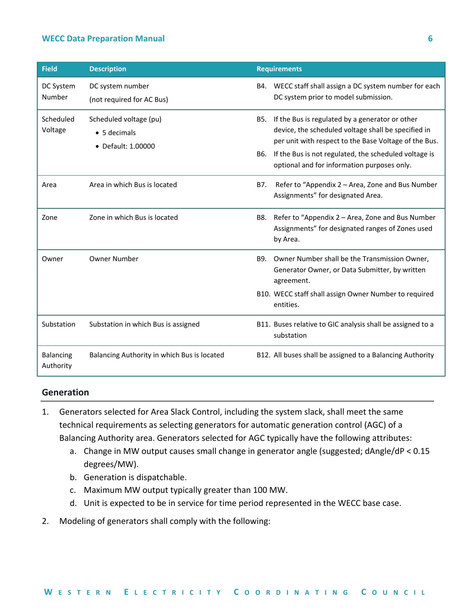| <b>Field</b>                  | <b>Description</b>                                                   |     | <b>Requirements</b>                                                                                                                                                                                                                                                         |
|-------------------------------|----------------------------------------------------------------------|-----|-----------------------------------------------------------------------------------------------------------------------------------------------------------------------------------------------------------------------------------------------------------------------------|
| DC System<br>Number           | DC system number<br>(not required for AC Bus)                        |     | B4. WECC staff shall assign a DC system number for each<br>DC system prior to model submission.                                                                                                                                                                             |
| Scheduled<br>Voltage          | Scheduled voltage (pu)<br>$\bullet$ 5 decimals<br>• Default: 1.00000 | B6. | B5. If the Bus is regulated by a generator or other<br>device, the scheduled voltage shall be specified in<br>per unit with respect to the Base Voltage of the Bus.<br>If the Bus is not regulated, the scheduled voltage is<br>optional and for information purposes only. |
| Area                          | Area in which Bus is located                                         | B7. | Refer to "Appendix 2 - Area, Zone and Bus Number<br>Assignments" for designated Area.                                                                                                                                                                                       |
| Zone                          | Zone in which Bus is located                                         | B8. | Refer to "Appendix 2 - Area, Zone and Bus Number<br>Assignments" for designated ranges of Zones used<br>by Area.                                                                                                                                                            |
| Owner                         | <b>Owner Number</b>                                                  | B9. | Owner Number shall be the Transmission Owner,<br>Generator Owner, or Data Submitter, by written<br>agreement.                                                                                                                                                               |
|                               |                                                                      |     | B10. WECC staff shall assign Owner Number to required<br>entities.                                                                                                                                                                                                          |
| Substation                    | Substation in which Bus is assigned                                  |     | B11. Buses relative to GIC analysis shall be assigned to a<br>substation                                                                                                                                                                                                    |
| <b>Balancing</b><br>Authority | Balancing Authority in which Bus is located                          |     | B12. All buses shall be assigned to a Balancing Authority                                                                                                                                                                                                                   |

#### <span id="page-8-0"></span>**Generation**

- 1. Generators selected for Area Slack Control, including the system slack, shall meet the same technical requirements as selecting generators for automatic generation control (AGC) of a Balancing Authority area. Generators selected for AGC typically have the following attributes:
	- a. Change in MW output causes small change in generator angle (suggested; dAngle/dP < 0.15 degrees/MW).
	- b. Generation is dispatchable.
	- c. Maximum MW output typically greater than 100 MW.
	- d. Unit is expected to be in service for time period represented in the WECC base case.
- 2. Modeling of generators shall comply with the following: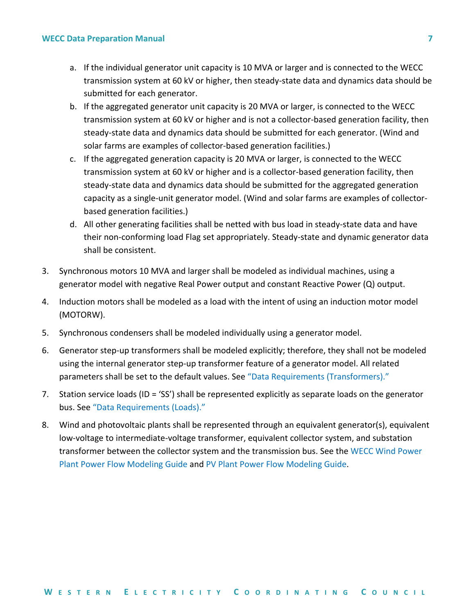- a. If the individual generator unit capacity is 10 MVA or larger and is connected to the WECC transmission system at 60 kV or higher, then steady-state data and dynamics data should be submitted for each generator.
- b. If the aggregated generator unit capacity is 20 MVA or larger, is connected to the WECC transmission system at 60 kV or higher and is not a collector-based generation facility, then steady-state data and dynamics data should be submitted for each generator. (Wind and solar farms are examples of collector-based generation facilities.)
- c. If the aggregated generation capacity is 20 MVA or larger, is connected to the WECC transmission system at 60 kV or higher and is a collector-based generation facility, then steady-state data and dynamics data should be submitted for the aggregated generation capacity as a single-unit generator model. (Wind and solar farms are examples of collectorbased generation facilities.)
- d. All other generating facilities shall be netted with bus load in steady-state data and have their non-conforming load Flag set appropriately. Steady-state and dynamic generator data shall be consistent.
- 3. Synchronous motors 10 MVA and larger shall be modeled as individual machines, using a generator model with negative Real Power output and constant Reactive Power (Q) output.
- 4. Induction motors shall be modeled as a load with the intent of using an induction motor model (MOTORW).
- 5. Synchronous condensers shall be modeled individually using a generator model.
- 6. Generator step-up transformers shall be modeled explicitly; therefore, they shall not be modeled using the internal generator step-up transformer feature of a generator model. All related parameters shall be set to the default values. See "[Data Requirements \(Transformers\).](#page-18-0)"
- 7. Station service loads (ID = 'SS') shall be represented explicitly as separate loads on the generator bus. See "[Data Requirements \(Loads\)](#page-27-0)."
- 8. Wind and photovoltaic plants shall be represented through an equivalent generator(s), equivalent low-voltage to intermediate-voltage transformer, equivalent collector system, and substation transformer between the collector system and the transmission bus. See the [WECC Wind Power](https://www.wecc.biz/_layouts/15/WopiFrame.aspx?sourcedoc=/Reliability/WECC%20Wind%20Plant%20Power%20Flow%20Modeling%20Guide.pdf&action=default&DefaultItemOpen=1)  [Plant Power Flow Modeling Guide](https://www.wecc.biz/_layouts/15/WopiFrame.aspx?sourcedoc=/Reliability/WECC%20Wind%20Plant%20Power%20Flow%20Modeling%20Guide.pdf&action=default&DefaultItemOpen=1) and [PV Plant Power Flow Modeling Guide.](https://www.wecc.biz/_layouts/15/WopiFrame.aspx?sourcedoc=/Reliability/WECC%20PV%20Plant%20Power%20Flow%20Modeling%20Guide.pdf&action=default&DefaultItemOpen=1)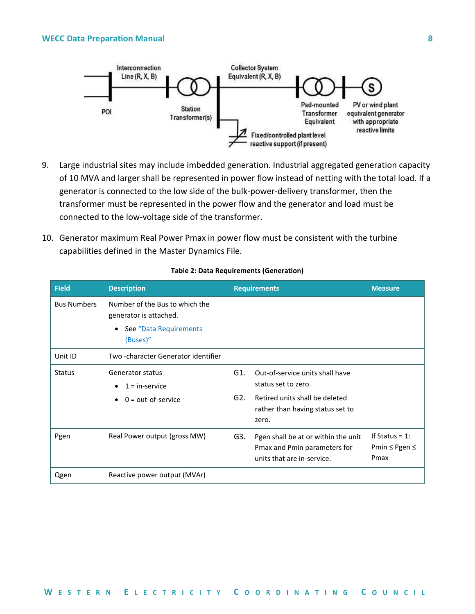

- 9. Large industrial sites may include imbedded generation. Industrial aggregated generation capacity of 10 MVA and larger shall be represented in power flow instead of netting with the total load. If a generator is connected to the low side of the bulk-power-delivery transformer, then the transformer must be represented in the power flow and the generator and load must be connected to the low-voltage side of the transformer.
- 10. Generator maximum Real Power Pmax in power flow must be consistent with the turbine capabilities defined in the Master Dynamics File.

| <b>Field</b>       | <b>Description</b>                                       |        | <b>Requirements</b>                                                                               | <b>Measure</b>                             |
|--------------------|----------------------------------------------------------|--------|---------------------------------------------------------------------------------------------------|--------------------------------------------|
| <b>Bus Numbers</b> | Number of the Bus to which the<br>generator is attached. |        |                                                                                                   |                                            |
|                    | See "Data Requirements<br>$\bullet$<br>(Buses)"          |        |                                                                                                   |                                            |
| Unit ID            | Two-character Generator identifier                       |        |                                                                                                   |                                            |
| <b>Status</b>      | Generator status<br>$1 =$ in-service                     | G1.    | Out-of-service units shall have<br>status set to zero.                                            |                                            |
|                    | $0 = out-of-service$                                     | $G2$ . | Retired units shall be deleted<br>rather than having status set to<br>zero.                       |                                            |
| Pgen               | Real Power output (gross MW)                             | G3.    | Pgen shall be at or within the unit<br>Pmax and Pmin parameters for<br>units that are in-service. | If Status = $1$ :<br>Pmin ≤ Pgen ≤<br>Pmax |
| Qgen               | Reactive power output (MVAr)                             |        |                                                                                                   |                                            |

#### **Table 2: Data Requirements (Generation)**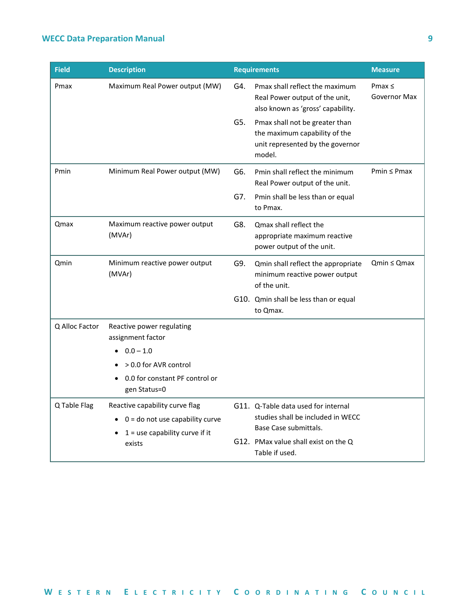| <b>Field</b>   | <b>Description</b>                                                              |                                                                                                   | <b>Requirements</b>                                                                                           | <b>Measure</b>              |
|----------------|---------------------------------------------------------------------------------|---------------------------------------------------------------------------------------------------|---------------------------------------------------------------------------------------------------------------|-----------------------------|
| Pmax           | Maximum Real Power output (MW)                                                  | G4.                                                                                               | Pmax shall reflect the maximum<br>Real Power output of the unit,<br>also known as 'gross' capability.         | Pmax $\leq$<br>Governor Max |
|                |                                                                                 | G5.                                                                                               | Pmax shall not be greater than<br>the maximum capability of the<br>unit represented by the governor<br>model. |                             |
| Pmin           | Minimum Real Power output (MW)                                                  | G6.                                                                                               | Pmin shall reflect the minimum<br>Real Power output of the unit.                                              | $Pmin \leq Pmax$            |
|                |                                                                                 | G7.                                                                                               | Pmin shall be less than or equal<br>to Pmax.                                                                  |                             |
| <b>Qmax</b>    | Maximum reactive power output<br>(MVAr)                                         | G8.                                                                                               | Qmax shall reflect the<br>appropriate maximum reactive<br>power output of the unit.                           |                             |
| Qmin           | Minimum reactive power output<br>(MVAr)                                         | G9.                                                                                               | Qmin shall reflect the appropriate<br>minimum reactive power output<br>of the unit.                           | $Qmin \le Qmax$             |
|                |                                                                                 |                                                                                                   | G10. Qmin shall be less than or equal<br>to Qmax.                                                             |                             |
| Q Alloc Factor | Reactive power regulating<br>assignment factor                                  |                                                                                                   |                                                                                                               |                             |
|                | $0.0 - 1.0$<br>> 0.0 for AVR control                                            |                                                                                                   |                                                                                                               |                             |
|                | 0.0 for constant PF control or<br>gen Status=0                                  |                                                                                                   |                                                                                                               |                             |
| Q Table Flag   | Reactive capability curve flag                                                  | G11. Q-Table data used for internal<br>studies shall be included in WECC<br>Base Case submittals. |                                                                                                               |                             |
|                | $0 =$ do not use capability curve<br>$1 =$ use capability curve if it<br>exists |                                                                                                   |                                                                                                               |                             |
|                |                                                                                 |                                                                                                   | G12. PMax value shall exist on the Q<br>Table if used.                                                        |                             |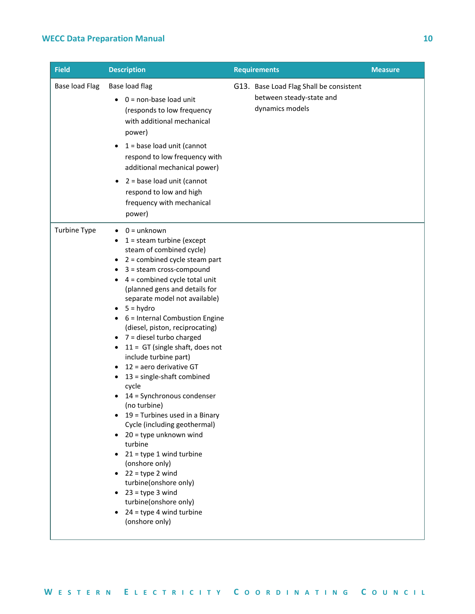| <b>Field</b>          | <b>Description</b>                                                                                                                                                                                                                                                                                                                                                                                                                                                                                                                                                                                                                                                                                                                                                                                                                                                             | <b>Requirements</b>                                                                    | <b>Measure</b> |
|-----------------------|--------------------------------------------------------------------------------------------------------------------------------------------------------------------------------------------------------------------------------------------------------------------------------------------------------------------------------------------------------------------------------------------------------------------------------------------------------------------------------------------------------------------------------------------------------------------------------------------------------------------------------------------------------------------------------------------------------------------------------------------------------------------------------------------------------------------------------------------------------------------------------|----------------------------------------------------------------------------------------|----------------|
| <b>Base load Flag</b> | Base load flag<br>0 = non-base load unit<br>$\bullet$<br>(responds to low frequency<br>with additional mechanical<br>power)<br>1 = base load unit (cannot<br>$\bullet$<br>respond to low frequency with<br>additional mechanical power)<br>2 = base load unit (cannot<br>$\bullet$<br>respond to low and high<br>frequency with mechanical<br>power)                                                                                                                                                                                                                                                                                                                                                                                                                                                                                                                           | G13. Base Load Flag Shall be consistent<br>between steady-state and<br>dynamics models |                |
| <b>Turbine Type</b>   | $0 =$ unknown<br>$1 =$ steam turbine (except<br>steam of combined cycle)<br>$\bullet$ 2 = combined cycle steam part<br>3 = steam cross-compound<br>٠<br>$\bullet$ 4 = combined cycle total unit<br>(planned gens and details for<br>separate model not available)<br>5 = hydro<br>6 = Internal Combustion Engine<br>(diesel, piston, reciprocating)<br>7 = diesel turbo charged<br>٠<br>$11 = GT$ (single shaft, does not<br>include turbine part)<br>12 = aero derivative GT<br>13 = single-shaft combined<br>٠<br>cycle<br>14 = Synchronous condenser<br>(no turbine)<br>19 = Turbines used in a Binary<br>Cycle (including geothermal)<br>20 = type unknown wind<br>turbine<br>21 = type 1 wind turbine<br>(onshore only)<br>22 = type 2 wind<br>turbine(onshore only)<br>$\bullet$ 23 = type 3 wind<br>turbine(onshore only)<br>24 = type 4 wind turbine<br>(onshore only) |                                                                                        |                |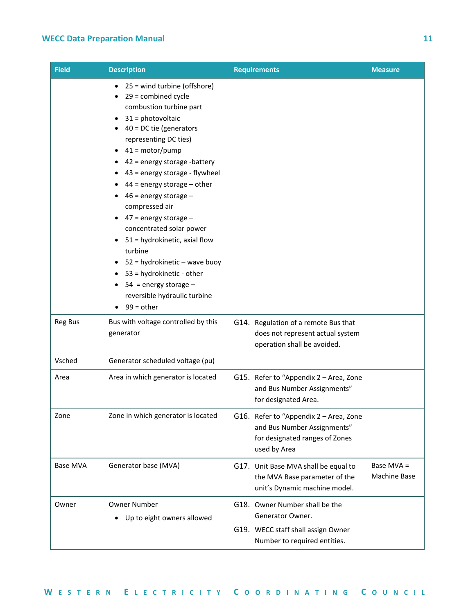| <b>Field</b>    | <b>Description</b>                                                                                                                                                                                                                                                                                                                                                                                                                                                                                                                                                     | <b>Requirements</b>                                                                                                     | <b>Measure</b>             |
|-----------------|------------------------------------------------------------------------------------------------------------------------------------------------------------------------------------------------------------------------------------------------------------------------------------------------------------------------------------------------------------------------------------------------------------------------------------------------------------------------------------------------------------------------------------------------------------------------|-------------------------------------------------------------------------------------------------------------------------|----------------------------|
|                 | 25 = wind turbine (offshore)<br>29 = combined cycle<br>combustion turbine part<br>31 = photovoltaic<br>40 = DC tie (generators<br>representing DC ties)<br>41 = motor/pump<br>42 = energy storage -battery<br>43 = energy storage - flywheel<br>$44$ = energy storage – other<br>46 = energy storage -<br>compressed air<br>$47$ = energy storage $-$<br>concentrated solar power<br>51 = hydrokinetic, axial flow<br>turbine<br>52 = hydrokinetic – wave buoy<br>53 = hydrokinetic - other<br>54 = energy storage $-$<br>reversible hydraulic turbine<br>$99 = other$ |                                                                                                                         |                            |
| <b>Reg Bus</b>  | Bus with voltage controlled by this<br>generator                                                                                                                                                                                                                                                                                                                                                                                                                                                                                                                       | G14. Regulation of a remote Bus that<br>does not represent actual system<br>operation shall be avoided.                 |                            |
| Vsched          | Generator scheduled voltage (pu)                                                                                                                                                                                                                                                                                                                                                                                                                                                                                                                                       |                                                                                                                         |                            |
| Area            | Area in which generator is located                                                                                                                                                                                                                                                                                                                                                                                                                                                                                                                                     | G15. Refer to "Appendix 2 - Area, Zone<br>and Bus Number Assignments"<br>for designated Area.                           |                            |
| Zone            | Zone in which generator is located                                                                                                                                                                                                                                                                                                                                                                                                                                                                                                                                     | G16. Refer to "Appendix 2 - Area, Zone<br>and Bus Number Assignments"<br>for designated ranges of Zones<br>used by Area |                            |
| <b>Base MVA</b> | Generator base (MVA)                                                                                                                                                                                                                                                                                                                                                                                                                                                                                                                                                   | G17. Unit Base MVA shall be equal to<br>the MVA Base parameter of the<br>unit's Dynamic machine model.                  | Base MVA =<br>Machine Base |
| Owner           | <b>Owner Number</b><br>Up to eight owners allowed                                                                                                                                                                                                                                                                                                                                                                                                                                                                                                                      | G18. Owner Number shall be the<br>Generator Owner.<br>G19. WECC staff shall assign Owner                                |                            |
|                 |                                                                                                                                                                                                                                                                                                                                                                                                                                                                                                                                                                        | Number to required entities.                                                                                            |                            |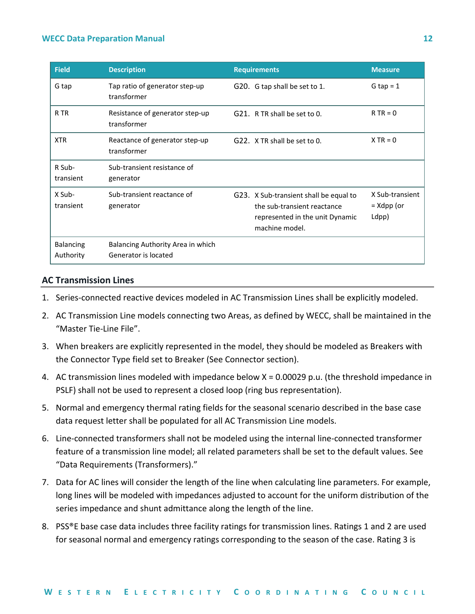| <b>Field</b>                  | <b>Description</b>                                        | <b>Requirements</b>                                                                                                        | <b>Measure</b>                           |
|-------------------------------|-----------------------------------------------------------|----------------------------------------------------------------------------------------------------------------------------|------------------------------------------|
| G tap                         | Tap ratio of generator step-up<br>transformer             | G20. G tap shall be set to 1.                                                                                              | G tap = $1$                              |
| R TR                          | Resistance of generator step-up<br>transformer            | G21. R TR shall be set to 0.                                                                                               | $R TR = 0$                               |
| <b>XTR</b>                    | Reactance of generator step-up<br>transformer             | G22. X TR shall be set to 0.                                                                                               | $X TR = 0$                               |
| R Sub-<br>transient           | Sub-transient resistance of<br>generator                  |                                                                                                                            |                                          |
| X Sub-<br>transient           | Sub-transient reactance of<br>generator                   | G23. X Sub-transient shall be equal to<br>the sub-transient reactance<br>represented in the unit Dynamic<br>machine model. | X Sub-transient<br>$= Xdpp$ (or<br>Ldpp) |
| <b>Balancing</b><br>Authority | Balancing Authority Area in which<br>Generator is located |                                                                                                                            |                                          |

#### <span id="page-14-0"></span>**AC Transmission Lines**

- 1. Series-connected reactive devices modeled in AC Transmission Lines shall be explicitly modeled.
- 2. AC Transmission Line models connecting two Areas, as defined by WECC, shall be maintained in the "Master Tie-Line File".
- 3. When breakers are explicitly represented in the model, they should be modeled as Breakers with the Connector Type field set to Breaker (See Connector section).
- 4. AC transmission lines modeled with impedance below X = 0.00029 p.u. (the threshold impedance in PSLF) shall not be used to represent a closed loop (ring bus representation).
- 5. Normal and emergency thermal rating fields for the seasonal scenario described in the base case data request letter shall be populated for all AC Transmission Line models.
- 6. Line-connected transformers shall not be modeled using the internal line-connected transformer feature of a transmission line model; all related parameters shall be set to the default values. See "Data Requirements (Transformers)."
- 7. Data for AC lines will consider the length of the line when calculating line parameters. For example, long lines will be modeled with impedances adjusted to account for the uniform distribution of the series impedance and shunt admittance along the length of the line.
- 8. PSS®E base case data includes three facility ratings for transmission lines. Ratings 1 and 2 are used for seasonal normal and emergency ratings corresponding to the season of the case. Rating 3 is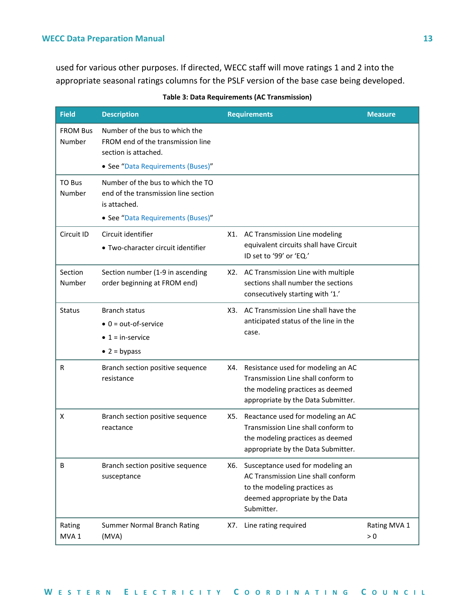used for various other purposes. If directed, WECC staff will move ratings 1 and 2 into the appropriate seasonal ratings columns for the PSLF version of the base case being developed.

| <b>Field</b>               | <b>Description</b>                                                                          |     | <b>Requirements</b>                                                                                                                                    | <b>Measure</b>      |
|----------------------------|---------------------------------------------------------------------------------------------|-----|--------------------------------------------------------------------------------------------------------------------------------------------------------|---------------------|
| <b>FROM Bus</b><br>Number  | Number of the bus to which the<br>FROM end of the transmission line<br>section is attached. |     |                                                                                                                                                        |                     |
|                            | • See "Data Requirements (Buses)"                                                           |     |                                                                                                                                                        |                     |
| TO Bus<br>Number           | Number of the bus to which the TO<br>end of the transmission line section<br>is attached.   |     |                                                                                                                                                        |                     |
|                            | • See "Data Requirements (Buses)"                                                           |     |                                                                                                                                                        |                     |
| Circuit ID                 | Circuit identifier<br>• Two-character circuit identifier                                    | X1. | AC Transmission Line modeling<br>equivalent circuits shall have Circuit<br>ID set to '99' or 'EQ.'                                                     |                     |
| Section<br>Number          | Section number (1-9 in ascending<br>order beginning at FROM end)                            | X2. | AC Transmission Line with multiple<br>sections shall number the sections<br>consecutively starting with '1.'                                           |                     |
| <b>Status</b>              | <b>Branch status</b>                                                                        | X3. | AC Transmission Line shall have the<br>anticipated status of the line in the<br>case.                                                                  |                     |
|                            | $\bullet$ 0 = out-of-service                                                                |     |                                                                                                                                                        |                     |
|                            | $\bullet$ 1 = in-service                                                                    |     |                                                                                                                                                        |                     |
|                            | $\bullet$ 2 = bypass                                                                        |     |                                                                                                                                                        |                     |
| R                          | Branch section positive sequence<br>resistance                                              | X4. | Resistance used for modeling an AC<br>Transmission Line shall conform to<br>the modeling practices as deemed<br>appropriate by the Data Submitter.     |                     |
| X                          | Branch section positive sequence<br>reactance                                               | X5. | Reactance used for modeling an AC<br>Transmission Line shall conform to<br>the modeling practices as deemed<br>appropriate by the Data Submitter.      |                     |
| В                          | Branch section positive sequence<br>susceptance                                             | X6. | Susceptance used for modeling an<br>AC Transmission Line shall conform<br>to the modeling practices as<br>deemed appropriate by the Data<br>Submitter. |                     |
| Rating<br>MVA <sub>1</sub> | <b>Summer Normal Branch Rating</b><br>(MVA)                                                 | X7. | Line rating required                                                                                                                                   | Rating MVA 1<br>> 0 |

#### **Table 3: Data Requirements (AC Transmission)**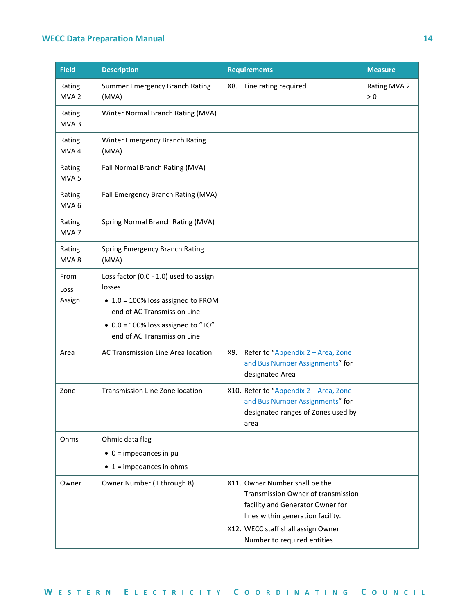| <b>Field</b>               | <b>Description</b>                                                                                                    |     | <b>Requirements</b>                                                                                                                                                                                                 | <b>Measure</b>        |
|----------------------------|-----------------------------------------------------------------------------------------------------------------------|-----|---------------------------------------------------------------------------------------------------------------------------------------------------------------------------------------------------------------------|-----------------------|
| Rating<br>MVA <sub>2</sub> | Summer Emergency Branch Rating<br>(MVA)                                                                               |     | X8. Line rating required                                                                                                                                                                                            | Rating MVA 2<br>$> 0$ |
| Rating<br>MVA <sub>3</sub> | Winter Normal Branch Rating (MVA)                                                                                     |     |                                                                                                                                                                                                                     |                       |
| Rating<br>MVA4             | Winter Emergency Branch Rating<br>(MVA)                                                                               |     |                                                                                                                                                                                                                     |                       |
| Rating<br>MVA <sub>5</sub> | Fall Normal Branch Rating (MVA)                                                                                       |     |                                                                                                                                                                                                                     |                       |
| Rating<br>MVA <sub>6</sub> | Fall Emergency Branch Rating (MVA)                                                                                    |     |                                                                                                                                                                                                                     |                       |
| Rating<br>MVA <sub>7</sub> | Spring Normal Branch Rating (MVA)                                                                                     |     |                                                                                                                                                                                                                     |                       |
| Rating<br>MVA8             | Spring Emergency Branch Rating<br>(MVA)                                                                               |     |                                                                                                                                                                                                                     |                       |
| From<br>Loss<br>Assign.    | Loss factor (0.0 - 1.0) used to assign<br>losses<br>• 1.0 = 100% loss assigned to FROM<br>end of AC Transmission Line |     |                                                                                                                                                                                                                     |                       |
|                            | • 0.0 = 100% loss assigned to "TO"<br>end of AC Transmission Line                                                     |     |                                                                                                                                                                                                                     |                       |
| Area                       | AC Transmission Line Area location                                                                                    | X9. | Refer to "Appendix 2 - Area, Zone<br>and Bus Number Assignments" for<br>designated Area                                                                                                                             |                       |
| Zone                       | Transmission Line Zone location                                                                                       |     | X10. Refer to "Appendix 2 - Area, Zone<br>and Bus Number Assignments" for<br>designated ranges of Zones used by<br>area                                                                                             |                       |
| Ohms                       | Ohmic data flag<br>$\bullet$ 0 = impedances in pu<br>$\bullet$ 1 = impedances in ohms                                 |     |                                                                                                                                                                                                                     |                       |
| Owner                      | Owner Number (1 through 8)                                                                                            |     | X11. Owner Number shall be the<br>Transmission Owner of transmission<br>facility and Generator Owner for<br>lines within generation facility.<br>X12. WECC staff shall assign Owner<br>Number to required entities. |                       |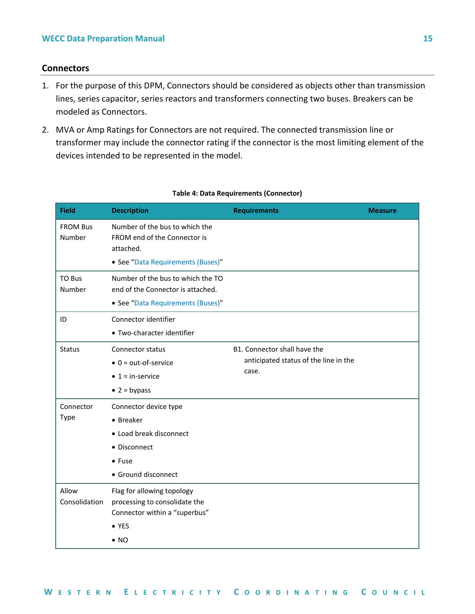#### <span id="page-17-0"></span>**Connectors**

- 1. For the purpose of this DPM, Connectors should be considered as objects other than transmission lines, series capacitor, series reactors and transformers connecting two buses. Breakers can be modeled as Connectors.
- 2. MVA or Amp Ratings for Connectors are not required. The connected transmission line or transformer may include the connector rating if the connector is the most limiting element of the devices intended to be represented in the model.

| <b>Field</b>              | <b>Description</b>                                                                                                            | <b>Requirements</b>                                                            | <b>Measure</b> |
|---------------------------|-------------------------------------------------------------------------------------------------------------------------------|--------------------------------------------------------------------------------|----------------|
| <b>FROM Bus</b><br>Number | Number of the bus to which the<br>FROM end of the Connector is<br>attached.<br>• See "Data Requirements (Buses)"              |                                                                                |                |
| <b>TO Bus</b><br>Number   | Number of the bus to which the TO<br>end of the Connector is attached.<br>• See "Data Requirements (Buses)"                   |                                                                                |                |
| ID                        | Connector identifier<br>• Two-character identifier                                                                            |                                                                                |                |
| <b>Status</b>             | <b>Connector status</b><br>$\bullet$ 0 = out-of-service<br>$\bullet$ 1 = in-service<br>$\bullet$ 2 = bypass                   | B1. Connector shall have the<br>anticipated status of the line in the<br>case. |                |
| Connector<br>Type         | Connector device type<br>• Breaker<br>• Load break disconnect<br>• Disconnect<br>$•$ Fuse<br>• Ground disconnect              |                                                                                |                |
| Allow<br>Consolidation    | Flag for allowing topology<br>processing to consolidate the<br>Connector within a "superbus"<br>$\bullet$ YES<br>$\bullet$ NO |                                                                                |                |

#### **Table 4: Data Requirements (Connector)**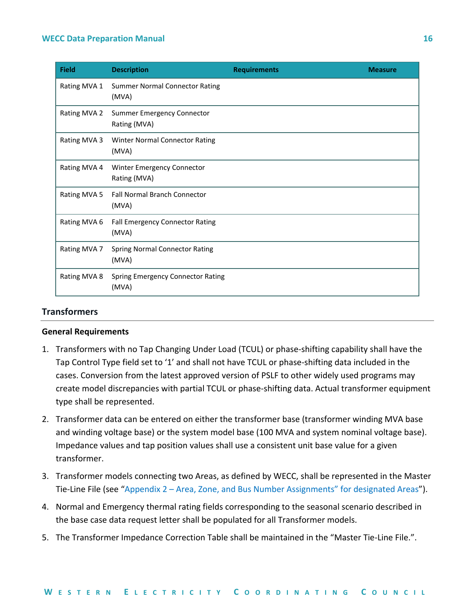| <b>Field</b> | <b>Description</b>                                | <b>Requirements</b> | <b>Measure</b> |
|--------------|---------------------------------------------------|---------------------|----------------|
| Rating MVA 1 | <b>Summer Normal Connector Rating</b><br>(MVA)    |                     |                |
| Rating MVA 2 | <b>Summer Emergency Connector</b><br>Rating (MVA) |                     |                |
| Rating MVA 3 | Winter Normal Connector Rating<br>(MVA)           |                     |                |
| Rating MVA 4 | Winter Emergency Connector<br>Rating (MVA)        |                     |                |
| Rating MVA 5 | <b>Fall Normal Branch Connector</b><br>(MVA)      |                     |                |
| Rating MVA 6 | <b>Fall Emergency Connector Rating</b><br>(MVA)   |                     |                |
| Rating MVA 7 | <b>Spring Normal Connector Rating</b><br>(MVA)    |                     |                |
| Rating MVA 8 | <b>Spring Emergency Connector Rating</b><br>(MVA) |                     |                |

#### <span id="page-18-0"></span>**Transformers**

#### **General Requirements**

- 1. Transformers with no Tap Changing Under Load (TCUL) or phase-shifting capability shall have the Tap Control Type field set to '1' and shall not have TCUL or phase-shifting data included in the cases. Conversion from the latest approved version of PSLF to other widely used programs may create model discrepancies with partial TCUL or phase-shifting data. Actual transformer equipment type shall be represented.
- 2. Transformer data can be entered on either the transformer base (transformer winding MVA base and winding voltage base) or the system model base (100 MVA and system nominal voltage base). Impedance values and tap position values shall use a consistent unit base value for a given transformer.
- 3. Transformer models connecting two Areas, as defined by WECC, shall be represented in the Master Tie-Line File (see "Appendix 2 – [Area, Zone, and Bus Number Assignments" for designated Areas"](#page-39-0)).
- 4. Normal and Emergency thermal rating fields corresponding to the seasonal scenario described in the base case data request letter shall be populated for all Transformer models.
- 5. The Transformer Impedance Correction Table shall be maintained in the "Master Tie-Line File.".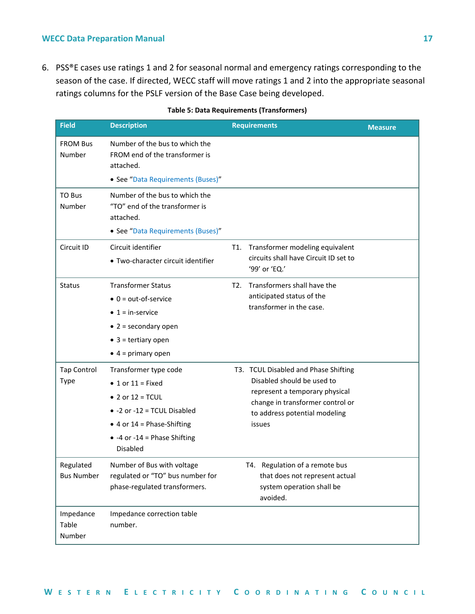6. PSS®E cases use ratings 1 and 2 for seasonal normal and emergency ratings corresponding to the season of the case. If directed, WECC staff will move ratings 1 and 2 into the appropriate seasonal ratings columns for the PSLF version of the Base Case being developed.

| <b>Field</b>                      | <b>Description</b>                                                                                                                                                                                               | <b>Requirements</b>                                                                                                                                                                 | <b>Measure</b> |
|-----------------------------------|------------------------------------------------------------------------------------------------------------------------------------------------------------------------------------------------------------------|-------------------------------------------------------------------------------------------------------------------------------------------------------------------------------------|----------------|
| <b>FROM Bus</b><br>Number         | Number of the bus to which the<br>FROM end of the transformer is<br>attached.<br>• See "Data Requirements (Buses)"                                                                                               |                                                                                                                                                                                     |                |
| TO Bus<br>Number                  | Number of the bus to which the<br>"TO" end of the transformer is<br>attached.<br>• See "Data Requirements (Buses)"                                                                                               |                                                                                                                                                                                     |                |
| Circuit ID                        | Circuit identifier<br>• Two-character circuit identifier                                                                                                                                                         | Transformer modeling equivalent<br>T1.<br>circuits shall have Circuit ID set to<br>'99' or 'EQ.'                                                                                    |                |
| <b>Status</b>                     | <b>Transformer Status</b><br>$\bullet$ 0 = out-of-service<br>$\bullet$ 1 = in-service<br>$\bullet$ 2 = secondary open<br>$\bullet$ 3 = tertiary open<br>$\bullet$ 4 = primary open                               | Transformers shall have the<br>T2.<br>anticipated status of the<br>transformer in the case.                                                                                         |                |
| <b>Tap Control</b><br><b>Type</b> | Transformer type code<br>$\bullet$ 1 or 11 = Fixed<br>• 2 or $12 = TCUL$<br>$\bullet$ -2 or -12 = TCUL Disabled<br>$\bullet$ 4 or 14 = Phase-Shifting<br>$\bullet$ -4 or -14 = Phase Shifting<br><b>Disabled</b> | T3. TCUL Disabled and Phase Shifting<br>Disabled should be used to<br>represent a temporary physical<br>change in transformer control or<br>to address potential modeling<br>issues |                |
| Regulated<br><b>Bus Number</b>    | Number of Bus with voltage<br>regulated or "TO" bus number for<br>phase-regulated transformers.                                                                                                                  | Regulation of a remote bus<br>T4.<br>that does not represent actual<br>system operation shall be<br>avoided.                                                                        |                |
| Impedance<br>Table<br>Number      | Impedance correction table<br>number.                                                                                                                                                                            |                                                                                                                                                                                     |                |

#### **Table 5: Data Requirements (Transformers)**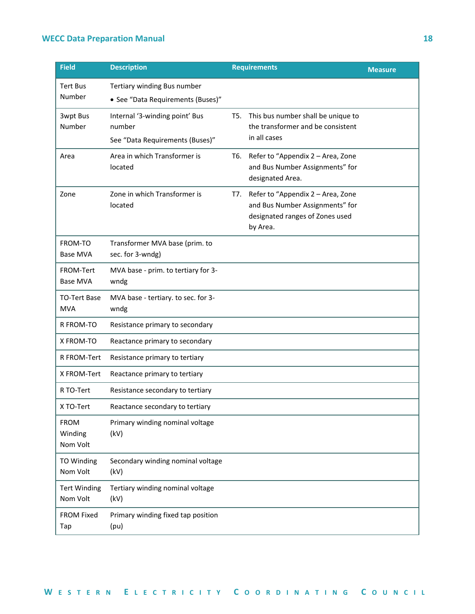| <b>Field</b>                       | <b>Description</b>                                                          |     | <b>Requirements</b>                                                                                                 | <b>Measure</b> |
|------------------------------------|-----------------------------------------------------------------------------|-----|---------------------------------------------------------------------------------------------------------------------|----------------|
| <b>Tert Bus</b><br>Number          | Tertiary winding Bus number<br>• See "Data Requirements (Buses)"            |     |                                                                                                                     |                |
| 3wpt Bus<br>Number                 | Internal '3-winding point' Bus<br>number<br>See "Data Requirements (Buses)" |     | T5. This bus number shall be unique to<br>the transformer and be consistent<br>in all cases                         |                |
| Area                               | Area in which Transformer is<br>located                                     | T6. | Refer to "Appendix 2 - Area, Zone<br>and Bus Number Assignments" for<br>designated Area.                            |                |
| Zone                               | Zone in which Transformer is<br>located                                     | T7. | Refer to "Appendix 2 - Area, Zone<br>and Bus Number Assignments" for<br>designated ranges of Zones used<br>by Area. |                |
| FROM-TO<br><b>Base MVA</b>         | Transformer MVA base (prim. to<br>sec. for 3-wndg)                          |     |                                                                                                                     |                |
| FROM-Tert<br><b>Base MVA</b>       | MVA base - prim. to tertiary for 3-<br>wndg                                 |     |                                                                                                                     |                |
| <b>TO-Tert Base</b><br><b>MVA</b>  | MVA base - tertiary. to sec. for 3-<br>wndg                                 |     |                                                                                                                     |                |
| R FROM-TO                          | Resistance primary to secondary                                             |     |                                                                                                                     |                |
| X FROM-TO                          | Reactance primary to secondary                                              |     |                                                                                                                     |                |
| R FROM-Tert                        | Resistance primary to tertiary                                              |     |                                                                                                                     |                |
| X FROM-Tert                        | Reactance primary to tertiary                                               |     |                                                                                                                     |                |
| R TO-Tert                          | Resistance secondary to tertiary                                            |     |                                                                                                                     |                |
| X TO-Tert                          | Reactance secondary to tertiary                                             |     |                                                                                                                     |                |
| <b>FROM</b><br>Winding<br>Nom Volt | Primary winding nominal voltage<br>(kV)                                     |     |                                                                                                                     |                |
| <b>TO Winding</b><br>Nom Volt      | Secondary winding nominal voltage<br>(kV)                                   |     |                                                                                                                     |                |
| <b>Tert Winding</b><br>Nom Volt    | Tertiary winding nominal voltage<br>(kV)                                    |     |                                                                                                                     |                |
| FROM Fixed<br>Tap                  | Primary winding fixed tap position<br>(pu)                                  |     |                                                                                                                     |                |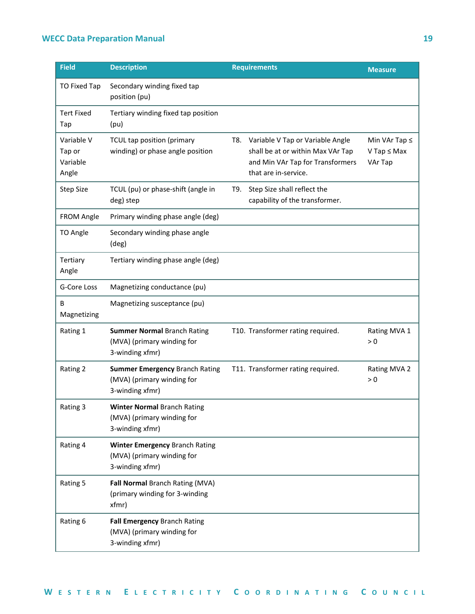| <b>Field</b>                              | <b>Description</b>                                                                     |     | <b>Requirements</b>                                                                                                               | <b>Measure</b>                                      |
|-------------------------------------------|----------------------------------------------------------------------------------------|-----|-----------------------------------------------------------------------------------------------------------------------------------|-----------------------------------------------------|
| <b>TO Fixed Tap</b>                       | Secondary winding fixed tap<br>position (pu)                                           |     |                                                                                                                                   |                                                     |
| <b>Tert Fixed</b><br>Tap                  | Tertiary winding fixed tap position<br>(pu)                                            |     |                                                                                                                                   |                                                     |
| Variable V<br>Tap or<br>Variable<br>Angle | TCUL tap position (primary<br>winding) or phase angle position                         | T8. | Variable V Tap or Variable Angle<br>shall be at or within Max VAr Tap<br>and Min VAr Tap for Transformers<br>that are in-service. | Min VAr Tap $\leq$<br>$V$ Tap $\leq$ Max<br>VAr Tap |
| <b>Step Size</b>                          | TCUL (pu) or phase-shift (angle in<br>deg) step                                        | T9. | Step Size shall reflect the<br>capability of the transformer.                                                                     |                                                     |
| <b>FROM Angle</b>                         | Primary winding phase angle (deg)                                                      |     |                                                                                                                                   |                                                     |
| TO Angle                                  | Secondary winding phase angle<br>(deg)                                                 |     |                                                                                                                                   |                                                     |
| Tertiary<br>Angle                         | Tertiary winding phase angle (deg)                                                     |     |                                                                                                                                   |                                                     |
| G-Core Loss                               | Magnetizing conductance (pu)                                                           |     |                                                                                                                                   |                                                     |
| В<br>Magnetizing                          | Magnetizing susceptance (pu)                                                           |     |                                                                                                                                   |                                                     |
| Rating 1                                  | <b>Summer Normal Branch Rating</b><br>(MVA) (primary winding for<br>3-winding xfmr)    |     | T10. Transformer rating required.                                                                                                 | Rating MVA 1<br>> 0                                 |
| Rating 2                                  | <b>Summer Emergency Branch Rating</b><br>(MVA) (primary winding for<br>3-winding xfmr) |     | T11. Transformer rating required.                                                                                                 | Rating MVA 2<br>> 0                                 |
| Rating 3                                  | <b>Winter Normal Branch Rating</b><br>(MVA) (primary winding for<br>3-winding xfmr)    |     |                                                                                                                                   |                                                     |
| Rating 4                                  | Winter Emergency Branch Rating<br>(MVA) (primary winding for<br>3-winding xfmr)        |     |                                                                                                                                   |                                                     |
| Rating 5                                  | Fall Normal Branch Rating (MVA)<br>(primary winding for 3-winding<br>xfmr)             |     |                                                                                                                                   |                                                     |
| Rating 6                                  | Fall Emergency Branch Rating<br>(MVA) (primary winding for<br>3-winding xfmr)          |     |                                                                                                                                   |                                                     |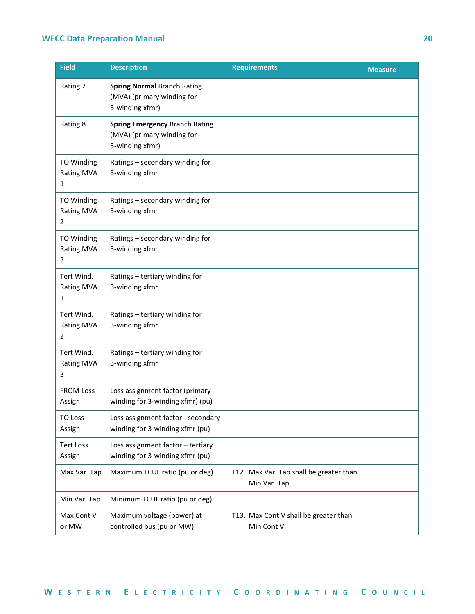| <b>Field</b>                                | <b>Description</b>                                                                     | <b>Requirements</b>                                      | <b>Measure</b> |
|---------------------------------------------|----------------------------------------------------------------------------------------|----------------------------------------------------------|----------------|
| Rating 7                                    | <b>Spring Normal Branch Rating</b><br>(MVA) (primary winding for<br>3-winding xfmr)    |                                                          |                |
| Rating 8                                    | <b>Spring Emergency Branch Rating</b><br>(MVA) (primary winding for<br>3-winding xfmr) |                                                          |                |
| TO Winding<br><b>Rating MVA</b><br>1        | Ratings - secondary winding for<br>3-winding xfmr                                      |                                                          |                |
| TO Winding<br><b>Rating MVA</b><br>2        | Ratings - secondary winding for<br>3-winding xfmr                                      |                                                          |                |
| <b>TO Winding</b><br><b>Rating MVA</b><br>3 | Ratings - secondary winding for<br>3-winding xfmr                                      |                                                          |                |
| Tert Wind.<br><b>Rating MVA</b><br>1        | Ratings - tertiary winding for<br>3-winding xfmr                                       |                                                          |                |
| Tert Wind.<br><b>Rating MVA</b><br>2        | Ratings - tertiary winding for<br>3-winding xfmr                                       |                                                          |                |
| Tert Wind.<br><b>Rating MVA</b><br>3        | Ratings - tertiary winding for<br>3-winding xfmr                                       |                                                          |                |
| <b>FROM Loss</b><br>Assign                  | Loss assignment factor (primary<br>winding for 3-winding xfmr) (pu)                    |                                                          |                |
| <b>TO Loss</b><br>Assign                    | Loss assignment factor - secondary<br>winding for 3-winding xfmr (pu)                  |                                                          |                |
| <b>Tert Loss</b><br>Assign                  | Loss assignment factor - tertiary<br>winding for 3-winding xfmr (pu)                   |                                                          |                |
| Max Var. Tap                                | Maximum TCUL ratio (pu or deg)                                                         | T12. Max Var. Tap shall be greater than<br>Min Var. Tap. |                |
| Min Var. Tap                                | Minimum TCUL ratio (pu or deg)                                                         |                                                          |                |
| Max Cont V<br>or MW                         | Maximum voltage (power) at<br>controlled bus (pu or MW)                                | T13. Max Cont V shall be greater than<br>Min Cont V.     |                |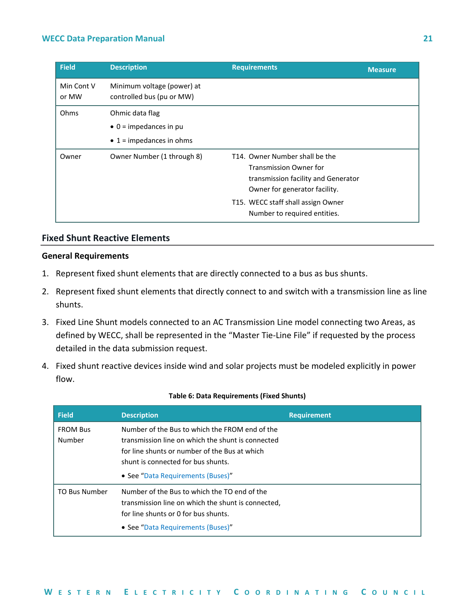| <b>Field</b>        | <b>Description</b>                                      | <b>Requirements</b>                                                                                                                                                                                           | <b>Measure</b> |
|---------------------|---------------------------------------------------------|---------------------------------------------------------------------------------------------------------------------------------------------------------------------------------------------------------------|----------------|
| Min Cont V<br>or MW | Minimum voltage (power) at<br>controlled bus (pu or MW) |                                                                                                                                                                                                               |                |
| Ohms                | Ohmic data flag                                         |                                                                                                                                                                                                               |                |
|                     | $\bullet$ 0 = impedances in pu                          |                                                                                                                                                                                                               |                |
|                     | $\bullet$ 1 = impedances in ohms                        |                                                                                                                                                                                                               |                |
| Owner               | Owner Number (1 through 8)                              | T14. Owner Number shall be the<br><b>Transmission Owner for</b><br>transmission facility and Generator<br>Owner for generator facility.<br>T15. WECC staff shall assign Owner<br>Number to required entities. |                |

#### <span id="page-23-0"></span>**Fixed Shunt Reactive Elements**

#### **General Requirements**

- 1. Represent fixed shunt elements that are directly connected to a bus as bus shunts.
- 2. Represent fixed shunt elements that directly connect to and switch with a transmission line as line shunts.
- 3. Fixed Line Shunt models connected to an AC Transmission Line model connecting two Areas, as defined by WECC, shall be represented in the "Master Tie-Line File" if requested by the process detailed in the data submission request.
- 4. Fixed shunt reactive devices inside wind and solar projects must be modeled explicitly in power flow.

| <b>Field</b>              | <b>Description</b>                                                                                                                                                                                                              | <b>Requirement</b> |
|---------------------------|---------------------------------------------------------------------------------------------------------------------------------------------------------------------------------------------------------------------------------|--------------------|
| <b>FROM Bus</b><br>Number | Number of the Bus to which the FROM end of the<br>transmission line on which the shunt is connected<br>for line shunts or number of the Bus at which<br>shunt is connected for bus shunts.<br>• See "Data Requirements (Buses)" |                    |
| <b>TO Bus Number</b>      | Number of the Bus to which the TO end of the<br>transmission line on which the shunt is connected.<br>for line shunts or 0 for bus shunts.<br>• See "Data Requirements (Buses)"                                                 |                    |

#### **Table 6: Data Requirements (Fixed Shunts)**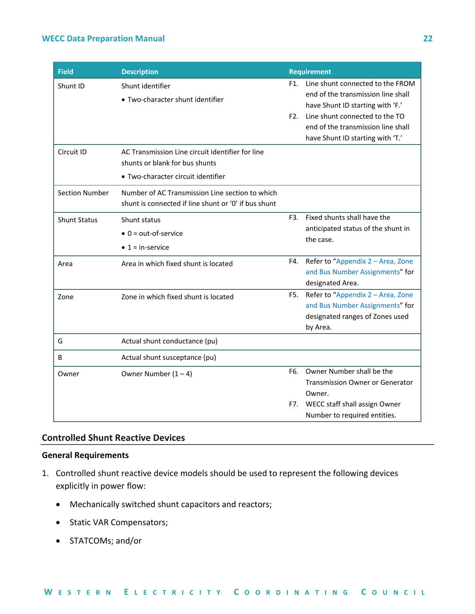| <b>Field</b>          | <b>Description</b>                                   |                | <b>Requirement</b>                     |
|-----------------------|------------------------------------------------------|----------------|----------------------------------------|
| Shunt ID              | Shunt identifier                                     | F1.            | Line shunt connected to the FROM       |
|                       | • Two-character shunt identifier                     |                | end of the transmission line shall     |
|                       |                                                      |                | have Shunt ID starting with 'F.'       |
|                       |                                                      | F <sub>2</sub> | Line shunt connected to the TO         |
|                       |                                                      |                | end of the transmission line shall     |
|                       |                                                      |                | have Shunt ID starting with 'T.'       |
| Circuit ID            | AC Transmission Line circuit identifier for line     |                |                                        |
|                       | shunts or blank for bus shunts                       |                |                                        |
|                       | • Two-character circuit identifier                   |                |                                        |
| <b>Section Number</b> | Number of AC Transmission Line section to which      |                |                                        |
|                       | shunt is connected if line shunt or '0' if bus shunt |                |                                        |
| <b>Shunt Status</b>   | Shunt status                                         | F3.            | Fixed shunts shall have the            |
|                       | $\bullet$ 0 = out-of-service                         |                | anticipated status of the shunt in     |
|                       | $\bullet$ 1 = in-service                             |                | the case.                              |
|                       |                                                      |                |                                        |
| Area                  | Area in which fixed shunt is located                 | F4.            | Refer to "Appendix 2 - Area, Zone      |
|                       |                                                      |                | and Bus Number Assignments" for        |
|                       |                                                      |                | designated Area.                       |
| Zone                  | Zone in which fixed shunt is located                 | F5.            | Refer to "Appendix 2 - Area, Zone      |
|                       |                                                      |                | and Bus Number Assignments" for        |
|                       |                                                      |                | designated ranges of Zones used        |
|                       |                                                      |                | by Area.                               |
| G                     | Actual shunt conductance (pu)                        |                |                                        |
| B                     | Actual shunt susceptance (pu)                        |                |                                        |
| Owner                 | Owner Number $(1 - 4)$                               | F6.            | Owner Number shall be the              |
|                       |                                                      |                | <b>Transmission Owner or Generator</b> |
|                       |                                                      |                | Owner.                                 |
|                       |                                                      | F7.            | WECC staff shall assign Owner          |
|                       |                                                      |                | Number to required entities.           |

#### <span id="page-24-0"></span>**Controlled Shunt Reactive Devices**

#### **General Requirements**

- 1. Controlled shunt reactive device models should be used to represent the following devices explicitly in power flow:
	- Mechanically switched shunt capacitors and reactors;
	- Static VAR Compensators;
	- STATCOMs; and/or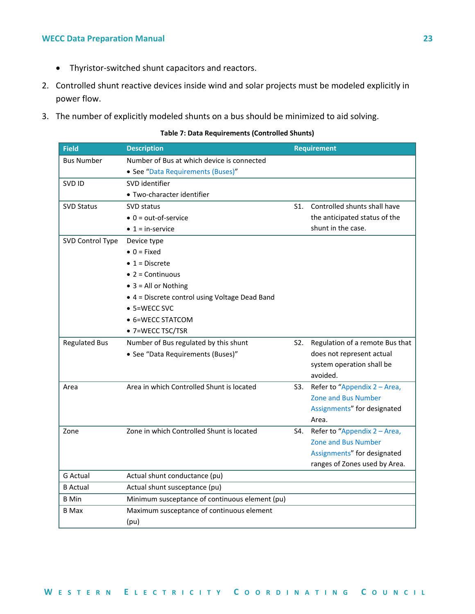- Thyristor-switched shunt capacitors and reactors.
- 2. Controlled shunt reactive devices inside wind and solar projects must be modeled explicitly in power flow.
- 3. The number of explicitly modeled shunts on a bus should be minimized to aid solving.

**Table 7: Data Requirements (Controlled Shunts)**

| <b>Field</b>         | <b>Description</b>                             |     | <b>Requirement</b>              |
|----------------------|------------------------------------------------|-----|---------------------------------|
| <b>Bus Number</b>    | Number of Bus at which device is connected     |     |                                 |
|                      | • See "Data Requirements (Buses)"              |     |                                 |
| SVD ID               | SVD identifier                                 |     |                                 |
|                      | · Two-character identifier                     |     |                                 |
| <b>SVD Status</b>    | SVD status                                     | S1. | Controlled shunts shall have    |
|                      | $\bullet$ 0 = out-of-service                   |     | the anticipated status of the   |
|                      | $\bullet$ 1 = in-service                       |     | shunt in the case.              |
| SVD Control Type     | Device type                                    |     |                                 |
|                      | $\bullet$ 0 = Fixed                            |     |                                 |
|                      | $\bullet$ 1 = Discrete                         |     |                                 |
|                      | $\bullet$ 2 = Continuous                       |     |                                 |
|                      | $\bullet$ 3 = All or Nothing                   |     |                                 |
|                      | • 4 = Discrete control using Voltage Dead Band |     |                                 |
|                      | $\bullet$ 5=WECC SVC                           |     |                                 |
|                      | • 6=WECC STATCOM                               |     |                                 |
|                      | • 7=WECC TSC/TSR                               |     |                                 |
| <b>Regulated Bus</b> | Number of Bus regulated by this shunt          | S2. | Regulation of a remote Bus that |
|                      | • See "Data Requirements (Buses)"              |     | does not represent actual       |
|                      |                                                |     | system operation shall be       |
|                      |                                                |     | avoided.                        |
| Area                 | Area in which Controlled Shunt is located      | S3. | Refer to "Appendix 2 - Area,    |
|                      |                                                |     | <b>Zone and Bus Number</b>      |
|                      |                                                |     | Assignments" for designated     |
|                      |                                                |     | Area.                           |
| Zone                 | Zone in which Controlled Shunt is located      | S4. | Refer to "Appendix 2 - Area,    |
|                      |                                                |     | <b>Zone and Bus Number</b>      |
|                      |                                                |     | Assignments" for designated     |
|                      |                                                |     | ranges of Zones used by Area.   |
| <b>G</b> Actual      | Actual shunt conductance (pu)                  |     |                                 |
| <b>B</b> Actual      | Actual shunt susceptance (pu)                  |     |                                 |
| <b>B</b> Min         | Minimum susceptance of continuous element (pu) |     |                                 |
| <b>B</b> Max         | Maximum susceptance of continuous element      |     |                                 |
|                      | (pu)                                           |     |                                 |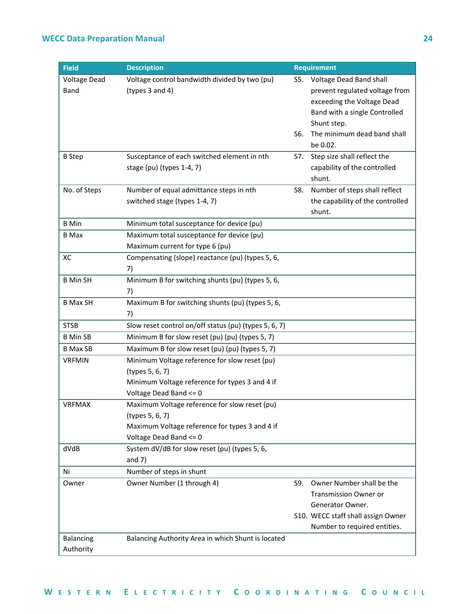| <b>Field</b>                  | <b>Description</b>                                                                                                                           |            | <b>Requirement</b>                                                                                                                                                                 |
|-------------------------------|----------------------------------------------------------------------------------------------------------------------------------------------|------------|------------------------------------------------------------------------------------------------------------------------------------------------------------------------------------|
| <b>Voltage Dead</b><br>Band   | Voltage control bandwidth divided by two (pu)<br>(types 3 and 4)                                                                             | S5.<br>S6. | Voltage Dead Band shall<br>prevent regulated voltage from<br>exceeding the Voltage Dead<br>Band with a single Controlled<br>Shunt step.<br>The minimum dead band shall<br>be 0.02. |
| <b>B</b> Step                 | Susceptance of each switched element in nth<br>stage (pu) (types 1-4, 7)                                                                     | S7.        | Step size shall reflect the<br>capability of the controlled<br>shunt.                                                                                                              |
| No. of Steps                  | Number of equal admittance steps in nth<br>switched stage (types 1-4, 7)                                                                     | S8.        | Number of steps shall reflect<br>the capability of the controlled<br>shunt.                                                                                                        |
| <b>B</b> Min                  | Minimum total susceptance for device (pu)                                                                                                    |            |                                                                                                                                                                                    |
| <b>B</b> Max                  | Maximum total susceptance for device (pu)<br>Maximum current for type 6 (pu)                                                                 |            |                                                                                                                                                                                    |
| XC                            | Compensating (slope) reactance (pu) (types 5, 6,<br>7)                                                                                       |            |                                                                                                                                                                                    |
| <b>B</b> Min SH               | Minimum B for switching shunts (pu) (types 5, 6,<br>7)                                                                                       |            |                                                                                                                                                                                    |
| <b>B Max SH</b>               | Maximum B for switching shunts (pu) (types 5, 6,<br>7)                                                                                       |            |                                                                                                                                                                                    |
| <b>STSB</b>                   | Slow reset control on/off status (pu) (types 5, 6, 7)                                                                                        |            |                                                                                                                                                                                    |
| <b>B</b> Min SB               | Minimum B for slow reset (pu) (pu) (types 5, 7)                                                                                              |            |                                                                                                                                                                                    |
| <b>B Max SB</b>               | Maximum B for slow reset (pu) (pu) (types 5, 7)                                                                                              |            |                                                                                                                                                                                    |
| <b>VRFMIN</b>                 | Minimum Voltage reference for slow reset (pu)<br>(types 5, 6, 7)<br>Minimum Voltage reference for types 3 and 4 if<br>Voltage Dead Band <= 0 |            |                                                                                                                                                                                    |
| <b>VRFMAX</b>                 | Maximum Voltage reference for slow reset (pu)<br>(types 5, 6, 7)<br>Maximum Voltage reference for types 3 and 4 if<br>Voltage Dead Band <= 0 |            |                                                                                                                                                                                    |
| dVdB                          | System dV/dB for slow reset (pu) (types 5, 6,<br>and $7)$                                                                                    |            |                                                                                                                                                                                    |
| Ni                            | Number of steps in shunt                                                                                                                     |            |                                                                                                                                                                                    |
| Owner                         | Owner Number (1 through 4)                                                                                                                   | S9.        | Owner Number shall be the<br><b>Transmission Owner or</b><br>Generator Owner.<br>S10. WECC staff shall assign Owner<br>Number to required entities.                                |
| <b>Balancing</b><br>Authority | Balancing Authority Area in which Shunt is located                                                                                           |            |                                                                                                                                                                                    |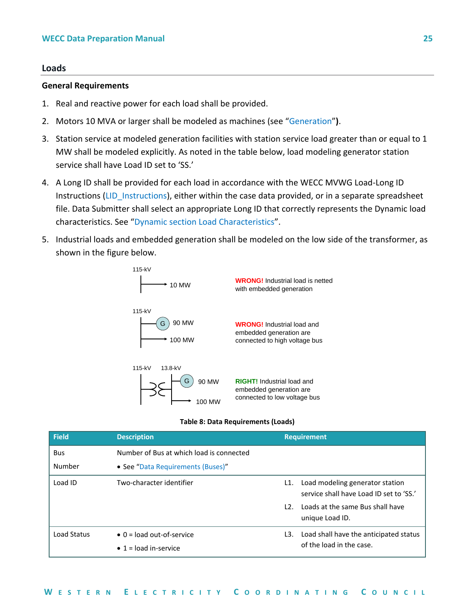#### <span id="page-27-0"></span>**Loads**

#### **General Requirements**

- 1. Real and reactive power for each load shall be provided.
- 2. Motors 10 MVA or larger shall be modeled as machines (see "[Generation](#page-8-0)"**)**.
- 3. Station service at modeled generation facilities with station service load greater than or equal to 1 MW shall be modeled explicitly. As noted in the table below, load modeling generator station service shall have Load ID set to 'SS.'
- 4. A Long ID shall be provided for each load in accordance with the WECC MVWG Load-Long ID Instructions (LID Instructions), either within the case data provided, or in a separate spreadsheet file. Data Submitter shall select an appropriate Long ID that correctly represents the Dynamic load characteristics. See "[Dynamic section Load Characteristics](#page-33-1)".
- 5. Industrial loads and embedded generation shall be modeled on the low side of the transformer, as shown in the figure below.



#### **Table 8: Data Requirements (Loads)**

| <b>Field</b> | <b>Description</b>                       |     | <b>Requirement</b>                                                         |
|--------------|------------------------------------------|-----|----------------------------------------------------------------------------|
| <b>Bus</b>   | Number of Bus at which load is connected |     |                                                                            |
| Number       | • See "Data Requirements (Buses)"        |     |                                                                            |
| Load ID      | Two-character identifier                 | L1. | Load modeling generator station<br>service shall have Load ID set to 'SS.' |
|              |                                          | 12. | Loads at the same Bus shall have<br>unique Load ID.                        |
| Load Status  | $\bullet$ 0 = load out-of-service        | L3. | Load shall have the anticipated status                                     |
|              | $\bullet$ 1 = load in-service            |     | of the load in the case.                                                   |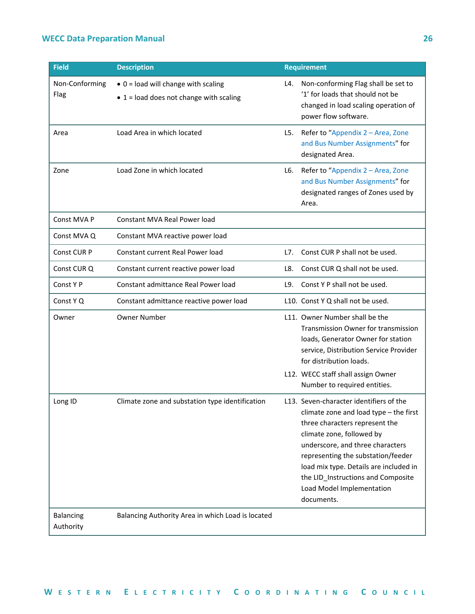| <b>Field</b>                  | <b>Description</b>                                                                             |     | <b>Requirement</b>                                                                                                                                                                                                                                                                                                                                    |
|-------------------------------|------------------------------------------------------------------------------------------------|-----|-------------------------------------------------------------------------------------------------------------------------------------------------------------------------------------------------------------------------------------------------------------------------------------------------------------------------------------------------------|
| Non-Conforming<br>Flag        | $\bullet$ 0 = load will change with scaling<br>$\bullet$ 1 = load does not change with scaling | L4. | Non-conforming Flag shall be set to<br>'1' for loads that should not be<br>changed in load scaling operation of<br>power flow software.                                                                                                                                                                                                               |
| Area                          | Load Area in which located                                                                     | L5. | Refer to "Appendix 2 - Area, Zone<br>and Bus Number Assignments" for<br>designated Area.                                                                                                                                                                                                                                                              |
| Zone                          | Load Zone in which located                                                                     | L6. | Refer to "Appendix 2 - Area, Zone<br>and Bus Number Assignments" for<br>designated ranges of Zones used by<br>Area.                                                                                                                                                                                                                                   |
| Const MVA P                   | <b>Constant MVA Real Power load</b>                                                            |     |                                                                                                                                                                                                                                                                                                                                                       |
| Const MVA Q                   | Constant MVA reactive power load                                                               |     |                                                                                                                                                                                                                                                                                                                                                       |
| Const CUR P                   | Constant current Real Power load                                                               | L7. | Const CUR P shall not be used.                                                                                                                                                                                                                                                                                                                        |
| Const CUR Q                   | Constant current reactive power load                                                           | L8. | Const CUR Q shall not be used.                                                                                                                                                                                                                                                                                                                        |
| Const Y P                     | Constant admittance Real Power load                                                            | L9. | Const Y P shall not be used.                                                                                                                                                                                                                                                                                                                          |
| Const Y Q                     | Constant admittance reactive power load                                                        |     | L10. Const Y Q shall not be used.                                                                                                                                                                                                                                                                                                                     |
| Owner                         | <b>Owner Number</b>                                                                            |     | L11. Owner Number shall be the<br>Transmission Owner for transmission<br>loads, Generator Owner for station<br>service, Distribution Service Provider<br>for distribution loads.<br>L12. WECC staff shall assign Owner                                                                                                                                |
|                               |                                                                                                |     | Number to required entities.                                                                                                                                                                                                                                                                                                                          |
| Long ID                       | Climate zone and substation type identification                                                |     | L13. Seven-character identifiers of the<br>climate zone and load type - the first<br>three characters represent the<br>climate zone, followed by<br>underscore, and three characters<br>representing the substation/feeder<br>load mix type. Details are included in<br>the LID_Instructions and Composite<br>Load Model Implementation<br>documents. |
| <b>Balancing</b><br>Authority | Balancing Authority Area in which Load is located                                              |     |                                                                                                                                                                                                                                                                                                                                                       |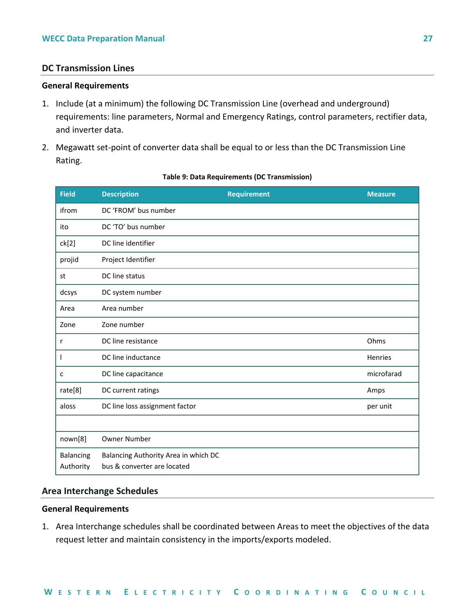#### <span id="page-29-0"></span>**DC Transmission Lines**

#### **General Requirements**

- 1. Include (at a minimum) the following DC Transmission Line (overhead and underground) requirements: line parameters, Normal and Emergency Ratings, control parameters, rectifier data, and inverter data.
- 2. Megawatt set-point of converter data shall be equal to or less than the DC Transmission Line Rating.

| <b>Field</b>                  | <b>Description</b>                                                  | <b>Requirement</b> | <b>Measure</b> |
|-------------------------------|---------------------------------------------------------------------|--------------------|----------------|
| ifrom                         | DC 'FROM' bus number                                                |                    |                |
| ito                           | DC 'TO' bus number                                                  |                    |                |
| ck[2]                         | DC line identifier                                                  |                    |                |
| projid                        | Project Identifier                                                  |                    |                |
| st                            | DC line status                                                      |                    |                |
| dcsys                         | DC system number                                                    |                    |                |
| Area                          | Area number                                                         |                    |                |
| Zone                          | Zone number                                                         |                    |                |
| r                             | DC line resistance                                                  |                    | Ohms           |
| I.                            | DC line inductance                                                  |                    | Henries        |
| c                             | DC line capacitance                                                 |                    | microfarad     |
| rate[8]                       | DC current ratings                                                  |                    | Amps           |
| aloss                         | DC line loss assignment factor                                      |                    | per unit       |
|                               |                                                                     |                    |                |
| nown[8]                       | <b>Owner Number</b>                                                 |                    |                |
| <b>Balancing</b><br>Authority | Balancing Authority Area in which DC<br>bus & converter are located |                    |                |

#### **Table 9: Data Requirements (DC Transmission)**

#### <span id="page-29-1"></span>**Area Interchange Schedules**

#### **General Requirements**

1. Area Interchange schedules shall be coordinated between Areas to meet the objectives of the data request letter and maintain consistency in the imports/exports modeled.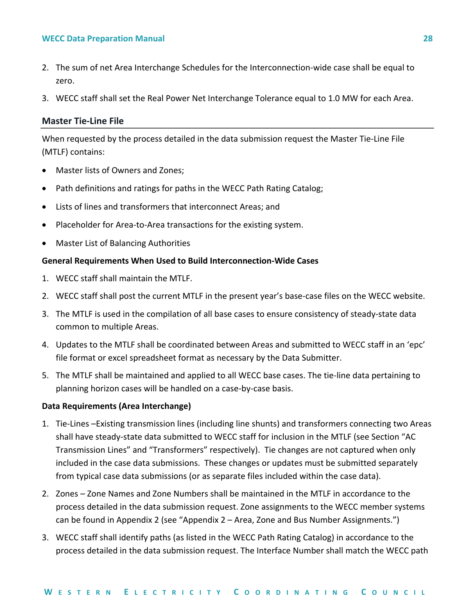- 2. The sum of net Area Interchange Schedules for the Interconnection-wide case shall be equal to zero.
- 3. WECC staff shall set the Real Power Net Interchange Tolerance equal to 1.0 MW for each Area.

#### <span id="page-30-0"></span>**Master Tie-Line File**

When requested by the process detailed in the data submission request the Master Tie-Line File (MTLF) contains:

- Master lists of Owners and Zones;
- Path definitions and ratings for paths in the WECC Path Rating Catalog;
- Lists of lines and transformers that interconnect Areas; and
- Placeholder for Area-to-Area transactions for the existing system.
- Master List of Balancing Authorities

#### **General Requirements When Used to Build Interconnection-Wide Cases**

- 1. WECC staff shall maintain the MTLF.
- 2. WECC staff shall post the current MTLF in the present year's base-case files on the WECC website.
- 3. The MTLF is used in the compilation of all base cases to ensure consistency of steady-state data common to multiple Areas.
- 4. Updates to the MTLF shall be coordinated between Areas and submitted to WECC staff in an 'epc' file format or excel spreadsheet format as necessary by the Data Submitter.
- 5. The MTLF shall be maintained and applied to all WECC base cases. The tie-line data pertaining to planning horizon cases will be handled on a case-by-case basis.

#### **Data Requirements (Area Interchange)**

- 1. Tie-Lines –Existing transmission lines (including line shunts) and transformers connecting two Areas shall have steady-state data submitted to WECC staff for inclusion in the MTLF (see Section "AC Transmission Lines" and "Transformers" respectively). Tie changes are not captured when only included in the case data submissions. These changes or updates must be submitted separately from typical case data submissions (or as separate files included within the case data).
- 2. Zones Zone Names and Zone Numbers shall be maintained in the MTLF in accordance to the process detailed in the data submission request. Zone assignments to the WECC member systems can be found in Appendix 2 (see "Appendix 2 – Area, Zone and Bus Number Assignments.")
- 3. WECC staff shall identify paths (as listed in the WECC Path Rating Catalog) in accordance to the process detailed in the data submission request. The Interface Number shall match the WECC path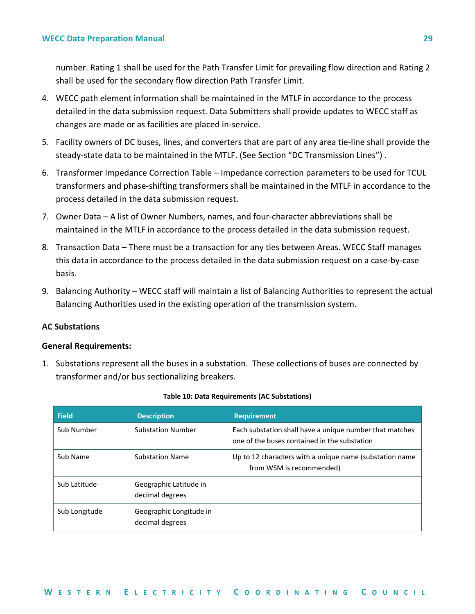number. Rating 1 shall be used for the Path Transfer Limit for prevailing flow direction and Rating 2 shall be used for the secondary flow direction Path Transfer Limit.

- 4. WECC path element information shall be maintained in the MTLF in accordance to the process detailed in the data submission request. Data Submitters shall provide updates to WECC staff as changes are made or as facilities are placed in-service.
- 5. Facility owners of DC buses, lines, and converters that are part of any area tie-line shall provide the steady-state data to be maintained in the MTLF. (See Section "DC Transmission Lines") .
- 6. Transformer Impedance Correction Table Impedance correction parameters to be used for TCUL transformers and phase-shifting transformers shall be maintained in the MTLF in accordance to the process detailed in the data submission request.
- 7. Owner Data A list of Owner Numbers, names, and four-character abbreviations shall be maintained in the MTLF in accordance to the process detailed in the data submission request.
- 8. Transaction Data There must be a transaction for any ties between Areas. WECC Staff manages this data in accordance to the process detailed in the data submission request on a case-by-case basis.
- 9. Balancing Authority WECC staff will maintain a list of Balancing Authorities to represent the actual Balancing Authorities used in the existing operation of the transmission system.

#### <span id="page-31-0"></span>**AC Substations**

#### **General Requirements:**

1. Substations represent all the buses in a substation. These collections of buses are connected by transformer and/or bus sectionalizing breakers.

| <b>Field</b>  | <b>Description</b>                         | <b>Requirement</b>                                                                                      |
|---------------|--------------------------------------------|---------------------------------------------------------------------------------------------------------|
| Sub Number    | <b>Substation Number</b>                   | Each substation shall have a unique number that matches<br>one of the buses contained in the substation |
| Sub Name      | <b>Substation Name</b>                     | Up to 12 characters with a unique name (substation name<br>from WSM is recommended)                     |
| Sub Latitude  | Geographic Latitude in<br>decimal degrees  |                                                                                                         |
| Sub Longitude | Geographic Longitude in<br>decimal degrees |                                                                                                         |

#### **Table 10: Data Requirements (AC Substations)**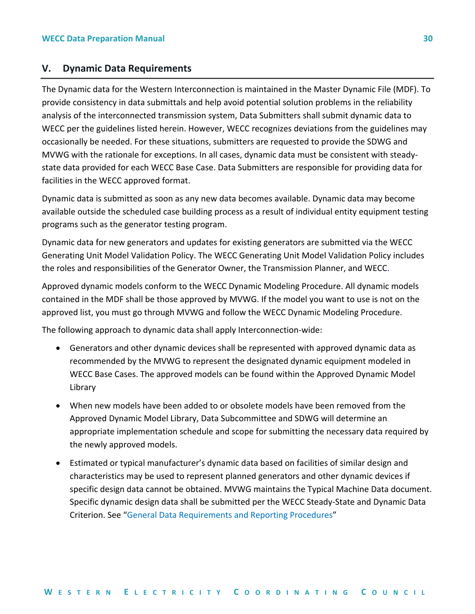#### <span id="page-32-0"></span>**V. Dynamic Data Requirements**

The Dynamic data for the Western Interconnection is maintained in the Master Dynamic File (MDF). To provide consistency in data submittals and help avoid potential solution problems in the reliability analysis of the interconnected transmission system, Data Submitters shall submit dynamic data to WECC per the guidelines listed herein. However, WECC recognizes deviations from the guidelines may occasionally be needed. For these situations, submitters are requested to provide the SDWG and MVWG with the rationale for exceptions. In all cases, dynamic data must be consistent with steadystate data provided for each WECC Base Case. Data Submitters are responsible for providing data for facilities in the WECC approved format.

Dynamic data is submitted as soon as any new data becomes available. Dynamic data may become available outside the scheduled case building process as a result of individual entity equipment testing programs such as the generator testing program.

Dynamic data for new generators and updates for existing generators are submitted via the WECC Generating Unit Model Validation Policy. The WECC Generating Unit Model Validation Policy includes the roles and responsibilities of the Generator Owner, the Transmission Planner, and WECC.

Approved dynamic models conform to the WECC Dynamic Modeling Procedure. All dynamic models contained in the MDF shall be those approved by MVWG. If the model you want to use is not on the approved list, you must go through MVWG and follow the WECC Dynamic Modeling Procedure.

The following approach to dynamic data shall apply Interconnection-wide:

- Generators and other dynamic devices shall be represented with approved dynamic data as recommended by the MVWG to represent the designated dynamic equipment modeled in WECC Base Cases. The approved models can be found within the Approved Dynamic Model Library
- When new models have been added to or obsolete models have been removed from the Approved Dynamic Model Library, Data Subcommittee and SDWG will determine an appropriate implementation schedule and scope for submitting the necessary data required by the newly approved models.
- Estimated or typical manufacturer's dynamic data based on facilities of similar design and characteristics may be used to represent planned generators and other dynamic devices if specific design data cannot be obtained. MVWG maintains the Typical Machine Data document. Specific dynamic design data shall be submitted per the WECC Steady-State and Dynamic Data Criterion. See "[General Data Requirements and Reporting Procedures](#page-4-0)"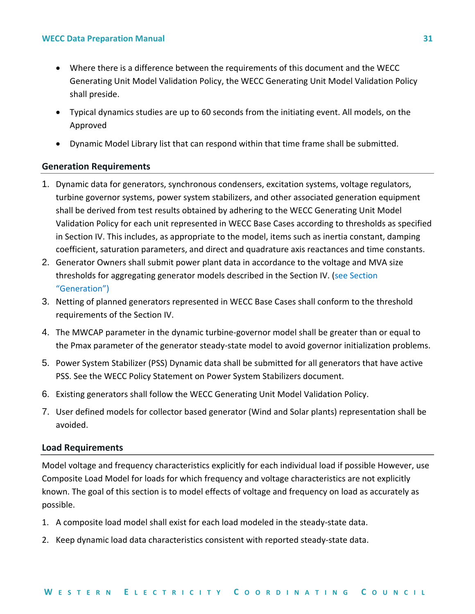- Where there is a difference between the requirements of this document and the WECC Generating Unit Model Validation Policy, the WECC Generating Unit Model Validation Policy shall preside.
- Typical dynamics studies are up to 60 seconds from the initiating event. All models, on the Approved
- Dynamic Model Library list that can respond within that time frame shall be submitted.

#### <span id="page-33-0"></span>**Generation Requirements**

- 1. Dynamic data for generators, synchronous condensers, excitation systems, voltage regulators, turbine governor systems, power system stabilizers, and other associated generation equipment shall be derived from test results obtained by adhering to the WECC Generating Unit Model Validation Policy for each unit represented in WECC Base Cases according to thresholds as specified in Section IV. This includes, as appropriate to the model, items such as inertia constant, damping coefficient, saturation parameters, and direct and quadrature axis reactances and time constants.
- 2. Generator Owners shall submit power plant data in accordance to the voltage and MVA size thresholds for aggregating generator models described in the Section IV. [\(see Section](#page-8-0)  "[Generation](#page-8-0)")
- 3. Netting of planned generators represented in WECC Base Cases shall conform to the threshold requirements of the Section IV.
- 4. The MWCAP parameter in the dynamic turbine-governor model shall be greater than or equal to the Pmax parameter of the generator steady-state model to avoid governor initialization problems.
- 5. Power System Stabilizer (PSS) Dynamic data shall be submitted for all generators that have active PSS. See the WECC Policy Statement on Power System Stabilizers document.
- 6. Existing generators shall follow the WECC Generating Unit Model Validation Policy.
- 7. User defined models for collector based generator (Wind and Solar plants) representation shall be avoided.

#### <span id="page-33-1"></span>**Load Requirements**

Model voltage and frequency characteristics explicitly for each individual load if possible However, use Composite Load Model for loads for which frequency and voltage characteristics are not explicitly known. The goal of this section is to model effects of voltage and frequency on load as accurately as possible.

- 1. A composite load model shall exist for each load modeled in the steady-state data.
- 2. Keep dynamic load data characteristics consistent with reported steady-state data.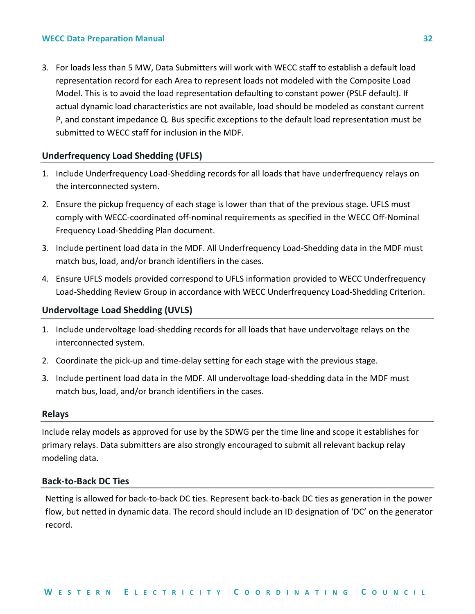3. For loads less than 5 MW, Data Submitters will work with WECC staff to establish a default load representation record for each Area to represent loads not modeled with the Composite Load Model. This is to avoid the load representation defaulting to constant power (PSLF default). If actual dynamic load characteristics are not available, load should be modeled as constant current P, and constant impedance Q. Bus specific exceptions to the default load representation must be submitted to WECC staff for inclusion in the MDF.

#### <span id="page-34-0"></span>**Underfrequency Load Shedding (UFLS)**

- 1. Include Underfrequency Load-Shedding records for all loads that have underfrequency relays on the interconnected system.
- 2. Ensure the pickup frequency of each stage is lower than that of the previous stage. UFLS must comply with WECC-coordinated off-nominal requirements as specified in the WECC Off-Nominal Frequency Load-Shedding Plan document.
- 3. Include pertinent load data in the MDF. All Underfrequency Load-Shedding data in the MDF must match bus, load, and/or branch identifiers in the cases.
- 4. Ensure UFLS models provided correspond to UFLS information provided to WECC Underfrequency Load-Shedding Review Group in accordance with WECC Underfrequency Load-Shedding Criterion.

#### <span id="page-34-1"></span>**Undervoltage Load Shedding (UVLS)**

- 1. Include undervoltage load-shedding records for all loads that have undervoltage relays on the interconnected system.
- 2. Coordinate the pick-up and time-delay setting for each stage with the previous stage.
- 3. Include pertinent load data in the MDF. All undervoltage load-shedding data in the MDF must match bus, load, and/or branch identifiers in the cases.

#### <span id="page-34-2"></span>**Relays**

Include relay models as approved for use by the SDWG per the time line and scope it establishes for primary relays. Data submitters are also strongly encouraged to submit all relevant backup relay modeling data.

#### <span id="page-34-3"></span>**Back-to-Back DC Ties**

Netting is allowed for back-to-back DC ties. Represent back-to-back DC ties as generation in the power flow, but netted in dynamic data. The record should include an ID designation of 'DC' on the generator record.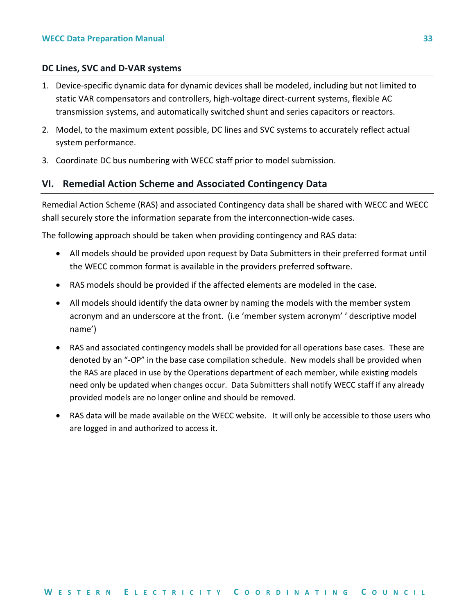#### <span id="page-35-0"></span>**DC Lines, SVC and D-VAR systems**

- 1. Device-specific dynamic data for dynamic devices shall be modeled, including but not limited to static VAR compensators and controllers, high-voltage direct-current systems, flexible AC transmission systems, and automatically switched shunt and series capacitors or reactors.
- 2. Model, to the maximum extent possible, DC lines and SVC systems to accurately reflect actual system performance.
- 3. Coordinate DC bus numbering with WECC staff prior to model submission.

#### <span id="page-35-1"></span>**VI. Remedial Action Scheme and Associated Contingency Data**

Remedial Action Scheme (RAS) and associated Contingency data shall be shared with WECC and WECC shall securely store the information separate from the interconnection-wide cases.

The following approach should be taken when providing contingency and RAS data:

- All models should be provided upon request by Data Submitters in their preferred format until the WECC common format is available in the providers preferred software.
- RAS models should be provided if the affected elements are modeled in the case.
- All models should identify the data owner by naming the models with the member system acronym and an underscore at the front. (i.e 'member system acronym' ' descriptive model name')
- RAS and associated contingency models shall be provided for all operations base cases. These are denoted by an "-OP" in the base case compilation schedule. New models shall be provided when the RAS are placed in use by the Operations department of each member, while existing models need only be updated when changes occur. Data Submitters shall notify WECC staff if any already provided models are no longer online and should be removed.
- RAS data will be made available on the WECC website. It will only be accessible to those users who are logged in and authorized to access it.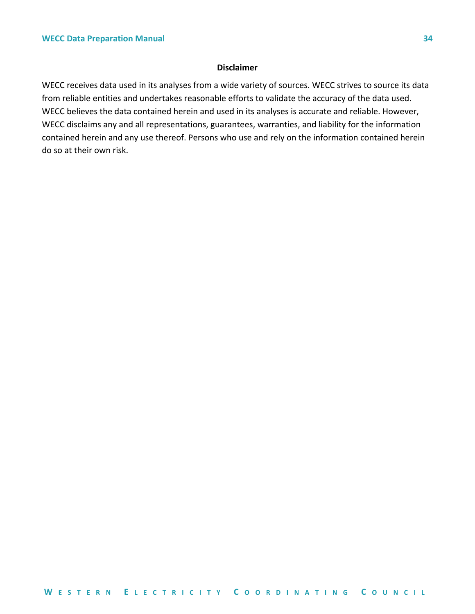#### **Disclaimer**

WECC receives data used in its analyses from a wide variety of sources. WECC strives to source its data from reliable entities and undertakes reasonable efforts to validate the accuracy of the data used. WECC believes the data contained herein and used in its analyses is accurate and reliable. However, WECC disclaims any and all representations, guarantees, warranties, and liability for the information contained herein and any use thereof. Persons who use and rely on the information contained herein do so at their own risk.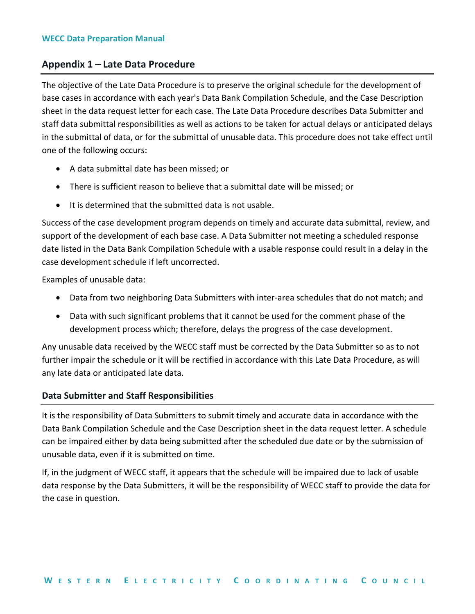## <span id="page-37-0"></span>**Appendix 1 – Late Data Procedure**

The objective of the Late Data Procedure is to preserve the original schedule for the development of base cases in accordance with each year's Data Bank Compilation Schedule, and the Case Description sheet in the data request letter for each case. The Late Data Procedure describes Data Submitter and staff data submittal responsibilities as well as actions to be taken for actual delays or anticipated delays in the submittal of data, or for the submittal of unusable data. This procedure does not take effect until one of the following occurs:

- A data submittal date has been missed; or
- There is sufficient reason to believe that a submittal date will be missed; or
- It is determined that the submitted data is not usable.

Success of the case development program depends on timely and accurate data submittal, review, and support of the development of each base case. A Data Submitter not meeting a scheduled response date listed in the Data Bank Compilation Schedule with a usable response could result in a delay in the case development schedule if left uncorrected.

Examples of unusable data:

- Data from two neighboring Data Submitters with inter-area schedules that do not match; and
- Data with such significant problems that it cannot be used for the comment phase of the development process which; therefore, delays the progress of the case development.

Any unusable data received by the WECC staff must be corrected by the Data Submitter so as to not further impair the schedule or it will be rectified in accordance with this Late Data Procedure, as will any late data or anticipated late data.

#### <span id="page-37-1"></span>**Data Submitter and Staff Responsibilities**

It is the responsibility of Data Submitters to submit timely and accurate data in accordance with the Data Bank Compilation Schedule and the Case Description sheet in the data request letter. A schedule can be impaired either by data being submitted after the scheduled due date or by the submission of unusable data, even if it is submitted on time.

If, in the judgment of WECC staff, it appears that the schedule will be impaired due to lack of usable data response by the Data Submitters, it will be the responsibility of WECC staff to provide the data for the case in question.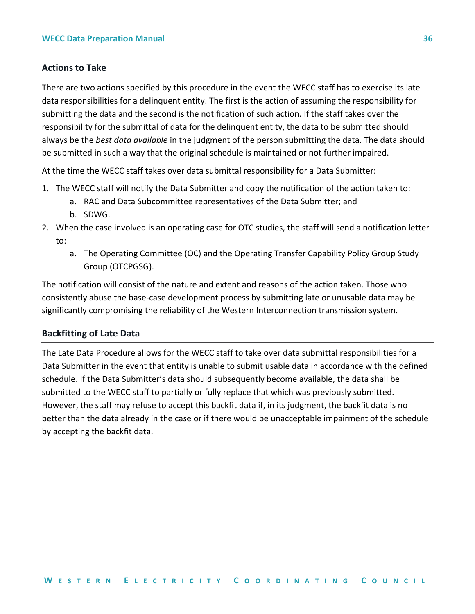#### <span id="page-38-0"></span>**Actions to Take**

There are two actions specified by this procedure in the event the WECC staff has to exercise its late data responsibilities for a delinquent entity. The first is the action of assuming the responsibility for submitting the data and the second is the notification of such action. If the staff takes over the responsibility for the submittal of data for the delinquent entity, the data to be submitted should always be the *best data available* in the judgment of the person submitting the data. The data should be submitted in such a way that the original schedule is maintained or not further impaired.

At the time the WECC staff takes over data submittal responsibility for a Data Submitter:

- 1. The WECC staff will notify the Data Submitter and copy the notification of the action taken to:
	- a. RAC and Data Subcommittee representatives of the Data Submitter; and
	- b. SDWG.
- 2. When the case involved is an operating case for OTC studies, the staff will send a notification letter to:
	- a. The Operating Committee (OC) and the Operating Transfer Capability Policy Group Study Group (OTCPGSG).

The notification will consist of the nature and extent and reasons of the action taken. Those who consistently abuse the base-case development process by submitting late or unusable data may be significantly compromising the reliability of the Western Interconnection transmission system.

#### <span id="page-38-1"></span>**Backfitting of Late Data**

The Late Data Procedure allows for the WECC staff to take over data submittal responsibilities for a Data Submitter in the event that entity is unable to submit usable data in accordance with the defined schedule. If the Data Submitter's data should subsequently become available, the data shall be submitted to the WECC staff to partially or fully replace that which was previously submitted. However, the staff may refuse to accept this backfit data if, in its judgment, the backfit data is no better than the data already in the case or if there would be unacceptable impairment of the schedule by accepting the backfit data.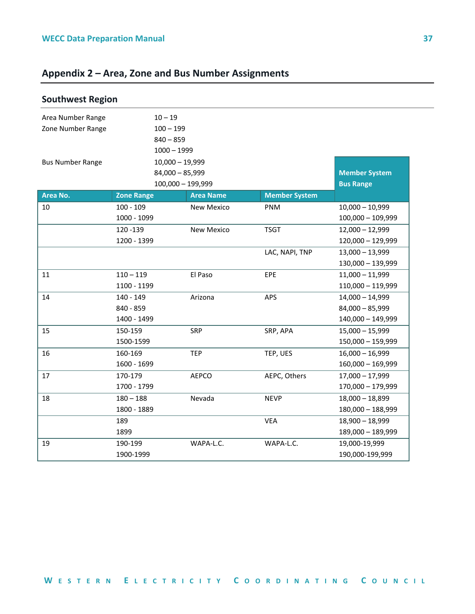## <span id="page-39-0"></span>**Appendix 2 – Area, Zone and Bus Number Assignments**

<span id="page-39-1"></span>

| <b>Southwest Region</b> |                   |                   |                      |                      |
|-------------------------|-------------------|-------------------|----------------------|----------------------|
| Area Number Range       | $10 - 19$         |                   |                      |                      |
| Zone Number Range       | $100 - 199$       |                   |                      |                      |
|                         | $840 - 859$       |                   |                      |                      |
|                         |                   | $1000 - 1999$     |                      |                      |
| <b>Bus Number Range</b> |                   | $10,000 - 19,999$ |                      |                      |
|                         |                   | $84,000 - 85,999$ |                      | <b>Member System</b> |
|                         |                   | 100,000 - 199,999 |                      | <b>Bus Range</b>     |
| Area No.                | <b>Zone Range</b> | <b>Area Name</b>  | <b>Member System</b> |                      |
| 10                      | $100 - 109$       | New Mexico        | PNM                  | $10,000 - 10,999$    |
|                         | 1000 - 1099       |                   |                      | $100,000 - 109,999$  |
|                         | 120 - 139         | <b>New Mexico</b> | <b>TSGT</b>          | $12,000 - 12,999$    |
|                         | 1200 - 1399       |                   |                      | 120,000 - 129,999    |
|                         |                   |                   | LAC, NAPI, TNP       | $13,000 - 13,999$    |
|                         |                   |                   |                      | 130,000 - 139,999    |
| 11                      | $110 - 119$       | El Paso           | EPE                  | $11,000 - 11,999$    |
|                         | 1100 - 1199       |                   |                      | 110,000 - 119,999    |
| 14                      | 140 - 149         | Arizona           | APS                  | $14,000 - 14,999$    |
|                         | 840 - 859         |                   |                      | $84,000 - 85,999$    |
|                         | 1400 - 1499       |                   |                      | 140,000 - 149,999    |
| 15                      | 150-159           | SRP               | SRP, APA             | $15,000 - 15,999$    |
|                         | 1500-1599         |                   |                      | 150,000 - 159,999    |
| 16                      | 160-169           | <b>TEP</b>        | TEP, UES             | $16,000 - 16,999$    |
|                         | 1600 - 1699       |                   |                      | $160,000 - 169,999$  |
| 17                      | 170-179           | AEPCO             | AEPC, Others         | $17,000 - 17,999$    |
|                         | 1700 - 1799       |                   |                      | 170,000 - 179,999    |
| 18                      | $180 - 188$       | Nevada            | <b>NEVP</b>          | $18,000 - 18,899$    |
|                         | 1800 - 1889       |                   |                      | 180,000 - 188,999    |
|                         | 189               |                   | <b>VEA</b>           | $18,900 - 18,999$    |
|                         | 1899              |                   |                      | 189,000 - 189,999    |
| 19                      | 190-199           | WAPA-L.C.         | WAPA-L.C.            | 19,000-19,999        |
|                         | 1900-1999         |                   |                      | 190,000-199,999      |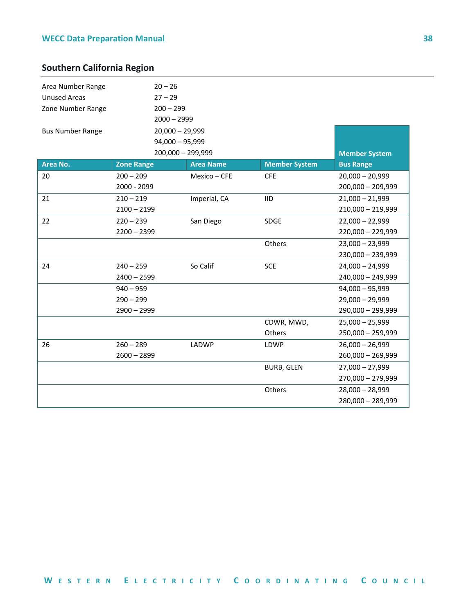## <span id="page-40-0"></span>**Southern California Region**

| Area Number Range<br><b>Unused Areas</b><br>Zone Number Range | $20 - 26$<br>$27 - 29$<br>$200 - 299$<br>$2000 - 2999$ |                   |                      |                                        |
|---------------------------------------------------------------|--------------------------------------------------------|-------------------|----------------------|----------------------------------------|
| <b>Bus Number Range</b>                                       | $20,000 - 29,999$<br>$94,000 - 95,999$                 | 200,000 - 299,999 |                      | <b>Member System</b>                   |
| Area No.                                                      | <b>Zone Range</b>                                      | <b>Area Name</b>  | <b>Member System</b> | <b>Bus Range</b>                       |
| 20                                                            | $200 - 209$<br>2000 - 2099                             | Mexico - CFE      | <b>CFE</b>           | $20,000 - 20,999$<br>200,000 - 209,999 |
| 21                                                            | $210 - 219$<br>$2100 - 2199$                           | Imperial, CA      | <b>IID</b>           | $21,000 - 21,999$<br>210,000 - 219,999 |
| 22                                                            | $220 - 239$                                            | San Diego         | SDGE                 | $22,000 - 22,999$                      |
|                                                               | $2200 - 2399$                                          |                   |                      | 220,000 - 229,999                      |
|                                                               |                                                        |                   | Others               | $23,000 - 23,999$                      |
|                                                               |                                                        |                   |                      | 230,000 - 239,999                      |
| 24                                                            | $240 - 259$                                            | So Calif          | <b>SCE</b>           | $24,000 - 24,999$                      |
|                                                               | $2400 - 2599$                                          |                   |                      | 240,000 - 249,999                      |
|                                                               | $940 - 959$                                            |                   |                      | $94,000 - 95,999$                      |
|                                                               | $290 - 299$                                            |                   |                      | $29,000 - 29,999$                      |
|                                                               | $2900 - 2999$                                          |                   |                      | 290,000 - 299,999                      |
|                                                               |                                                        |                   | CDWR, MWD,           | $25,000 - 25,999$                      |
|                                                               |                                                        |                   | Others               | 250,000 - 259,999                      |
| 26                                                            | $260 - 289$                                            | LADWP             | LDWP                 | $26,000 - 26,999$                      |
|                                                               | $2600 - 2899$                                          |                   |                      | 260,000 - 269,999                      |
|                                                               |                                                        |                   | <b>BURB, GLEN</b>    | $27,000 - 27,999$                      |
|                                                               |                                                        |                   |                      | 270,000 - 279,999                      |
|                                                               |                                                        |                   | Others               | $28,000 - 28,999$                      |
|                                                               |                                                        |                   |                      | 280,000 - 289,999                      |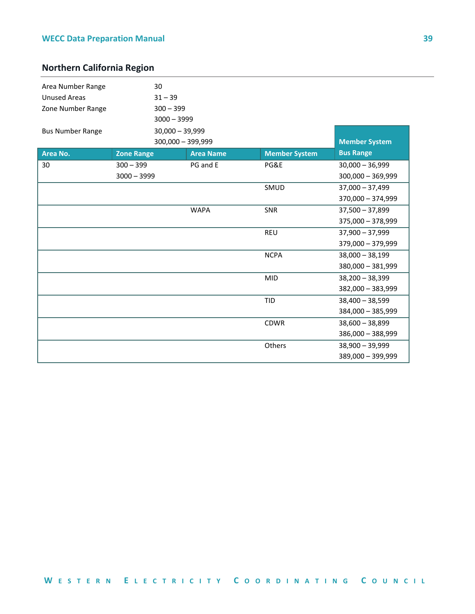## <span id="page-41-0"></span>**Northern California Region**

| Area Number Range       | 30                |                  |                      |                      |
|-------------------------|-------------------|------------------|----------------------|----------------------|
| <b>Unused Areas</b>     | $31 - 39$         |                  |                      |                      |
| Zone Number Range       | $300 - 399$       |                  |                      |                      |
|                         | $3000 - 3999$     |                  |                      |                      |
| <b>Bus Number Range</b> | $30,000 - 39,999$ |                  |                      |                      |
|                         | 300,000 - 399,999 |                  |                      | <b>Member System</b> |
| Area No.                | <b>Zone Range</b> | <b>Area Name</b> | <b>Member System</b> | <b>Bus Range</b>     |
| 30                      | $300 - 399$       | PG and E         | PG&E                 | $30,000 - 36,999$    |
|                         | $3000 - 3999$     |                  |                      | $300,000 - 369,999$  |
|                         |                   |                  | SMUD                 | $37,000 - 37,499$    |
|                         |                   |                  |                      | 370,000 - 374,999    |
|                         |                   | <b>WAPA</b>      | SNR                  | $37,500 - 37,899$    |
|                         |                   |                  |                      | 375,000 - 378,999    |
|                         |                   |                  | <b>REU</b>           | $37,900 - 37,999$    |
|                         |                   |                  |                      | 379,000 - 379,999    |
|                         |                   |                  | <b>NCPA</b>          | $38,000 - 38,199$    |
|                         |                   |                  |                      | 380,000 - 381,999    |
|                         |                   |                  | <b>MID</b>           | $38,200 - 38,399$    |
|                         |                   |                  |                      | 382,000 - 383,999    |
|                         |                   |                  | <b>TID</b>           | $38,400 - 38,599$    |
|                         |                   |                  |                      | 384,000 - 385,999    |
|                         |                   |                  | <b>CDWR</b>          | $38,600 - 38,899$    |
|                         |                   |                  |                      | 386,000 - 388,999    |
|                         |                   |                  | Others               | $38,900 - 39,999$    |
|                         |                   |                  |                      | 389,000 - 399,999    |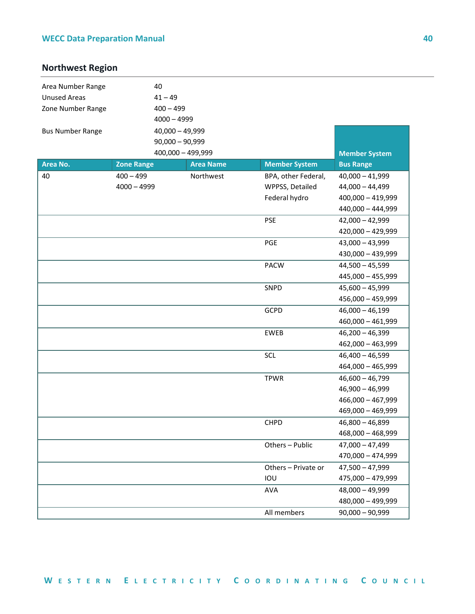## <span id="page-42-0"></span>**Northwest Region**

| Area Number Range       | 40                |                   |                      |                      |
|-------------------------|-------------------|-------------------|----------------------|----------------------|
| <b>Unused Areas</b>     | $41 - 49$         |                   |                      |                      |
| Zone Number Range       | $400 - 499$       |                   |                      |                      |
|                         | $4000 - 4999$     |                   |                      |                      |
| <b>Bus Number Range</b> | $40,000 - 49,999$ |                   |                      |                      |
|                         | $90,000 - 90,999$ |                   |                      |                      |
|                         |                   | 400,000 - 499,999 |                      | <b>Member System</b> |
| Area No.                | <b>Zone Range</b> | <b>Area Name</b>  | <b>Member System</b> | <b>Bus Range</b>     |
| 40                      | $400 - 499$       | Northwest         | BPA, other Federal,  | $40,000 - 41,999$    |
|                         | $4000 - 4999$     |                   | WPPSS, Detailed      | $44,000 - 44,499$    |
|                         |                   |                   | Federal hydro        | 400,000 - 419,999    |
|                         |                   |                   |                      | 440,000 - 444,999    |
|                         |                   |                   | <b>PSE</b>           | $42,000 - 42,999$    |
|                         |                   |                   |                      | 420,000 - 429,999    |
|                         |                   |                   | PGE                  | $43,000 - 43,999$    |
|                         |                   |                   |                      | 430,000 - 439,999    |
|                         |                   |                   | <b>PACW</b>          | $44,500 - 45,599$    |
|                         |                   |                   |                      | 445,000 - 455,999    |
|                         |                   |                   | SNPD                 | $45,600 - 45,999$    |
|                         |                   |                   |                      | 456,000 - 459,999    |
|                         |                   |                   | GCPD                 | $46,000 - 46,199$    |
|                         |                   |                   |                      | $460,000 - 461,999$  |
|                         |                   |                   | EWEB                 | $46,200 - 46,399$    |
|                         |                   |                   |                      | 462,000 - 463,999    |
|                         |                   |                   | <b>SCL</b>           | $46,400 - 46,599$    |
|                         |                   |                   |                      | 464,000 - 465,999    |
|                         |                   |                   | <b>TPWR</b>          | $46,600 - 46,799$    |
|                         |                   |                   |                      | $46,900 - 46,999$    |
|                         |                   |                   |                      | $466,000 - 467,999$  |
|                         |                   |                   |                      | 469,000 - 469,999    |
|                         |                   |                   | CHPD                 | $46,800 - 46,899$    |
|                         |                   |                   |                      | 468,000 - 468,999    |
|                         |                   |                   | Others - Public      | $47,000 - 47,499$    |
|                         |                   |                   |                      | 470,000 - 474,999    |
|                         |                   |                   | Others - Private or  | $47,500 - 47,999$    |
|                         |                   |                   | IOU                  | 475,000 - 479,999    |
|                         |                   |                   | AVA                  | $48,000 - 49,999$    |
|                         |                   |                   |                      | 480,000 - 499,999    |
|                         |                   |                   | All members          | $90,000 - 90,999$    |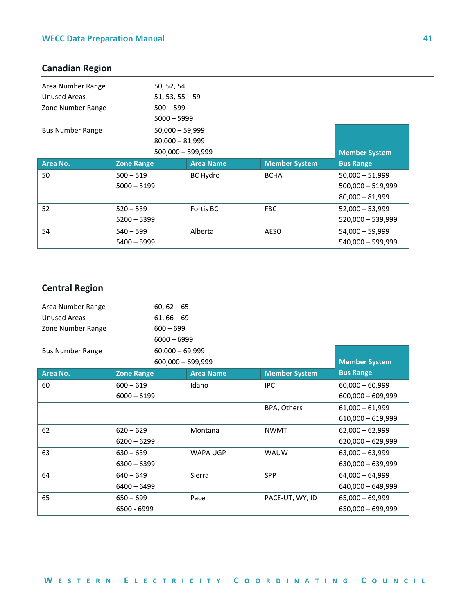## <span id="page-43-0"></span>**Canadian Region**

| Area Number Range       | 50, 52, 54          |                  |                      |                      |
|-------------------------|---------------------|------------------|----------------------|----------------------|
| Unused Areas            | $51, 53, 55 - 59$   |                  |                      |                      |
| Zone Number Range       | $500 - 599$         |                  |                      |                      |
|                         | $5000 - 5999$       |                  |                      |                      |
| <b>Bus Number Range</b> | $50,000 - 59,999$   |                  |                      |                      |
|                         | $80,000 - 81,999$   |                  |                      |                      |
|                         | $500,000 - 599,999$ |                  |                      | <b>Member System</b> |
|                         |                     |                  |                      |                      |
| Area No.                | <b>Zone Range</b>   | <b>Area Name</b> | <b>Member System</b> | <b>Bus Range</b>     |
| 50                      | $500 - 519$         | <b>BC Hydro</b>  | <b>BCHA</b>          | $50,000 - 51,999$    |
|                         | $5000 - 5199$       |                  |                      | $500,000 - 519,999$  |
|                         |                     |                  |                      | $80,000 - 81,999$    |
| 52                      | $520 - 539$         | Fortis BC        | <b>FBC</b>           | $52,000 - 53,999$    |
|                         | $5200 - 5399$       |                  |                      | $520,000 - 539,999$  |
| 54                      | $540 - 599$         | Alberta          | AESO                 | $54,000 - 59,999$    |

## <span id="page-43-1"></span>**Central Region**

| Area Number Range       | $60, 62 - 65$       |                  |                      |                      |
|-------------------------|---------------------|------------------|----------------------|----------------------|
| Unused Areas            | $61, 66 - 69$       |                  |                      |                      |
| Zone Number Range       | $600 - 699$         |                  |                      |                      |
|                         | $6000 - 6999$       |                  |                      |                      |
| <b>Bus Number Range</b> | $60,000 - 69,999$   |                  |                      |                      |
|                         | $600,000 - 699,999$ |                  |                      | <b>Member System</b> |
| Area No.                | <b>Zone Range</b>   | <b>Area Name</b> | <b>Member System</b> | <b>Bus Range</b>     |
| 60                      | $600 - 619$         | Idaho            | <b>IPC</b>           | $60,000 - 60,999$    |
|                         | $6000 - 6199$       |                  |                      | $600,000 - 609,999$  |
|                         |                     |                  | BPA, Others          | $61,000 - 61,999$    |
|                         |                     |                  |                      | $610,000 - 619,999$  |
| 62                      | $620 - 629$         | Montana          | <b>NWMT</b>          | $62,000 - 62,999$    |
|                         | $6200 - 6299$       |                  |                      | $620,000 - 629,999$  |
| 63                      | $630 - 639$         | <b>WAPA UGP</b>  | <b>WAUW</b>          | $63,000 - 63,999$    |
|                         | $6300 - 6399$       |                  |                      | 630,000 - 639,999    |
| 64                      | $640 - 649$         | Sierra           | <b>SPP</b>           | $64,000 - 64,999$    |
|                         | $6400 - 6499$       |                  |                      | $640,000 - 649,999$  |
| 65                      | $650 - 699$         | Pace             | PACE-UT, WY, ID      | $65,000 - 69,999$    |
|                         | 6500 - 6999         |                  |                      | $650,000 - 699,999$  |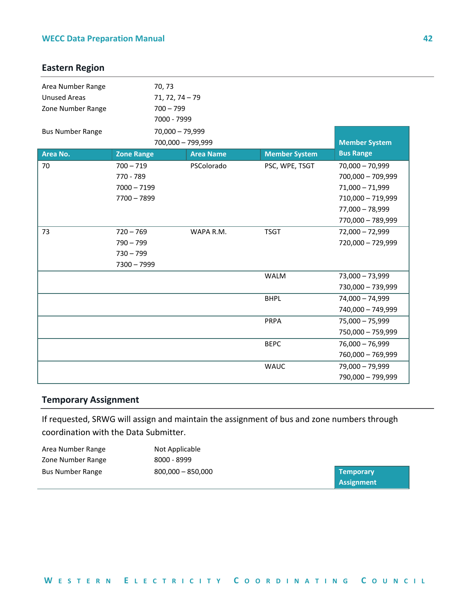## <span id="page-44-0"></span>**Eastern Region**

| Area Number Range<br><b>Unused Areas</b><br>Zone Number Range<br><b>Bus Number Range</b> | 70, 73<br>$71, 72, 74 - 79$<br>$700 - 799$<br>7000 - 7999<br>70,000 - 79,999<br>700,000 - 799,999 |                  |                      | <b>Member System</b>                                                                                                     |
|------------------------------------------------------------------------------------------|---------------------------------------------------------------------------------------------------|------------------|----------------------|--------------------------------------------------------------------------------------------------------------------------|
| Area No.                                                                                 | <b>Zone Range</b>                                                                                 | <b>Area Name</b> | <b>Member System</b> | <b>Bus Range</b>                                                                                                         |
| 70                                                                                       | $700 - 719$<br>770 - 789<br>$7000 - 7199$<br>$7700 - 7899$                                        | PSColorado       | PSC, WPE, TSGT       | $70,000 - 70,999$<br>700,000 - 709,999<br>$71,000 - 71,999$<br>710,000 - 719,999<br>77,000 - 78,999<br>770,000 - 789,999 |
| 73                                                                                       | $720 - 769$<br>$790 - 799$<br>$730 - 799$<br>7300 - 7999                                          | WAPA R.M.        | <b>TSGT</b>          | $72,000 - 72,999$<br>720,000 - 729,999                                                                                   |
|                                                                                          |                                                                                                   |                  | <b>WALM</b>          | 73,000 - 73,999<br>730,000 - 739,999                                                                                     |
|                                                                                          |                                                                                                   |                  | <b>BHPL</b>          | 74,000 - 74,999<br>740,000 - 749,999                                                                                     |
|                                                                                          |                                                                                                   |                  | <b>PRPA</b>          | $75,000 - 75,999$<br>750,000 - 759,999                                                                                   |
|                                                                                          |                                                                                                   |                  | <b>BEPC</b>          | $76,000 - 76,999$<br>760,000 - 769,999                                                                                   |
|                                                                                          |                                                                                                   |                  | <b>WAUC</b>          | 79,000 - 79,999<br>790,000 - 799,999                                                                                     |

#### <span id="page-44-1"></span>**Temporary Assignment**

If requested, SRWG will assign and maintain the assignment of bus and zone numbers through coordination with the Data Submitter.

<span id="page-44-2"></span>

| Area Number Range       | Not Applicable      |                   |
|-------------------------|---------------------|-------------------|
| Zone Number Range       | 8000 - 8999         |                   |
| <b>Bus Number Range</b> | $800,000 - 850,000$ | <b>Temporary</b>  |
|                         |                     | <b>Assignment</b> |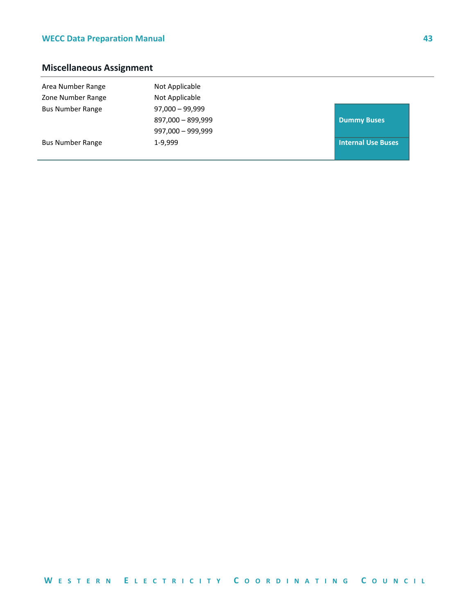## **Miscellaneous Assignment**

| Area Number Range<br>Zone Number Range | Not Applicable<br>Not Applicable |                           |
|----------------------------------------|----------------------------------|---------------------------|
| <b>Bus Number Range</b>                | $97,000 - 99,999$                |                           |
|                                        | 897,000 - 899,999                | <b>Dummy Buses</b>        |
|                                        | $997,000 - 999,999$              |                           |
| <b>Bus Number Range</b>                | 1-9,999                          | <b>Internal Use Buses</b> |
|                                        |                                  |                           |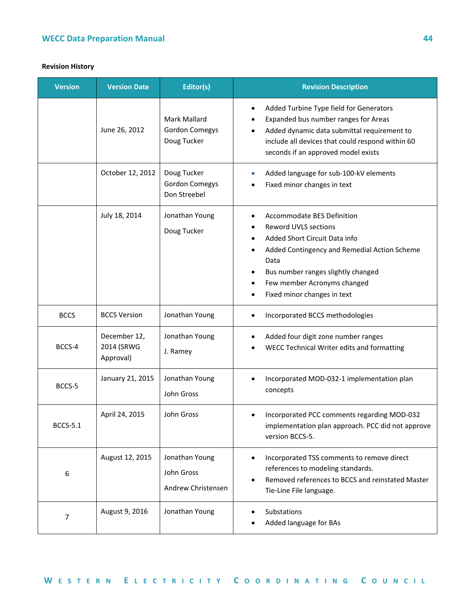#### **Revision History**

| <b>Version</b>  | <b>Version Date</b>                     | Editor(s)                                            | <b>Revision Description</b>                                                                                                                                                                                                                          |
|-----------------|-----------------------------------------|------------------------------------------------------|------------------------------------------------------------------------------------------------------------------------------------------------------------------------------------------------------------------------------------------------------|
|                 | June 26, 2012                           | Mark Mallard<br><b>Gordon Comegys</b><br>Doug Tucker | Added Turbine Type field for Generators<br>$\bullet$<br>Expanded bus number ranges for Areas<br>Added dynamic data submittal requirement to<br>include all devices that could respond within 60<br>seconds if an approved model exists               |
|                 | October 12, 2012                        | Doug Tucker<br><b>Gordon Comegys</b><br>Don Streebel | Added language for sub-100-kV elements<br>$\bullet$<br>Fixed minor changes in text                                                                                                                                                                   |
|                 | July 18, 2014                           | Jonathan Young<br>Doug Tucker                        | Accommodate BES Definition<br>Reword UVLS sections<br>Added Short Circuit Data info<br>Added Contingency and Remedial Action Scheme<br>Data<br>Bus number ranges slightly changed<br>Few member Acronyms changed<br>٠<br>Fixed minor changes in text |
| <b>BCCS</b>     | <b>BCCS Version</b>                     | Jonathan Young                                       | Incorporated BCCS methodologies                                                                                                                                                                                                                      |
| BCCS-4          | December 12,<br>2014 (SRWG<br>Approval) | Jonathan Young<br>J. Ramey                           | Added four digit zone number ranges<br>WECC Technical Writer edits and formatting                                                                                                                                                                    |
| BCCS-5          | January 21, 2015                        | Jonathan Young<br>John Gross                         | Incorporated MOD-032-1 implementation plan<br>$\bullet$<br>concepts                                                                                                                                                                                  |
| <b>BCCS-5.1</b> | April 24, 2015                          | John Gross                                           | Incorporated PCC comments regarding MOD-032<br>implementation plan approach. PCC did not approve<br>version BCCS-5.                                                                                                                                  |
| 6               | August 12, 2015                         | Jonathan Young<br>John Gross<br>Andrew Christensen   | Incorporated TSS comments to remove direct<br>$\bullet$<br>references to modeling standards.<br>Removed references to BCCS and reinstated Master<br>Tie-Line File language.                                                                          |
| $\overline{7}$  | August 9, 2016                          | Jonathan Young                                       | Substations<br>Added language for BAs                                                                                                                                                                                                                |